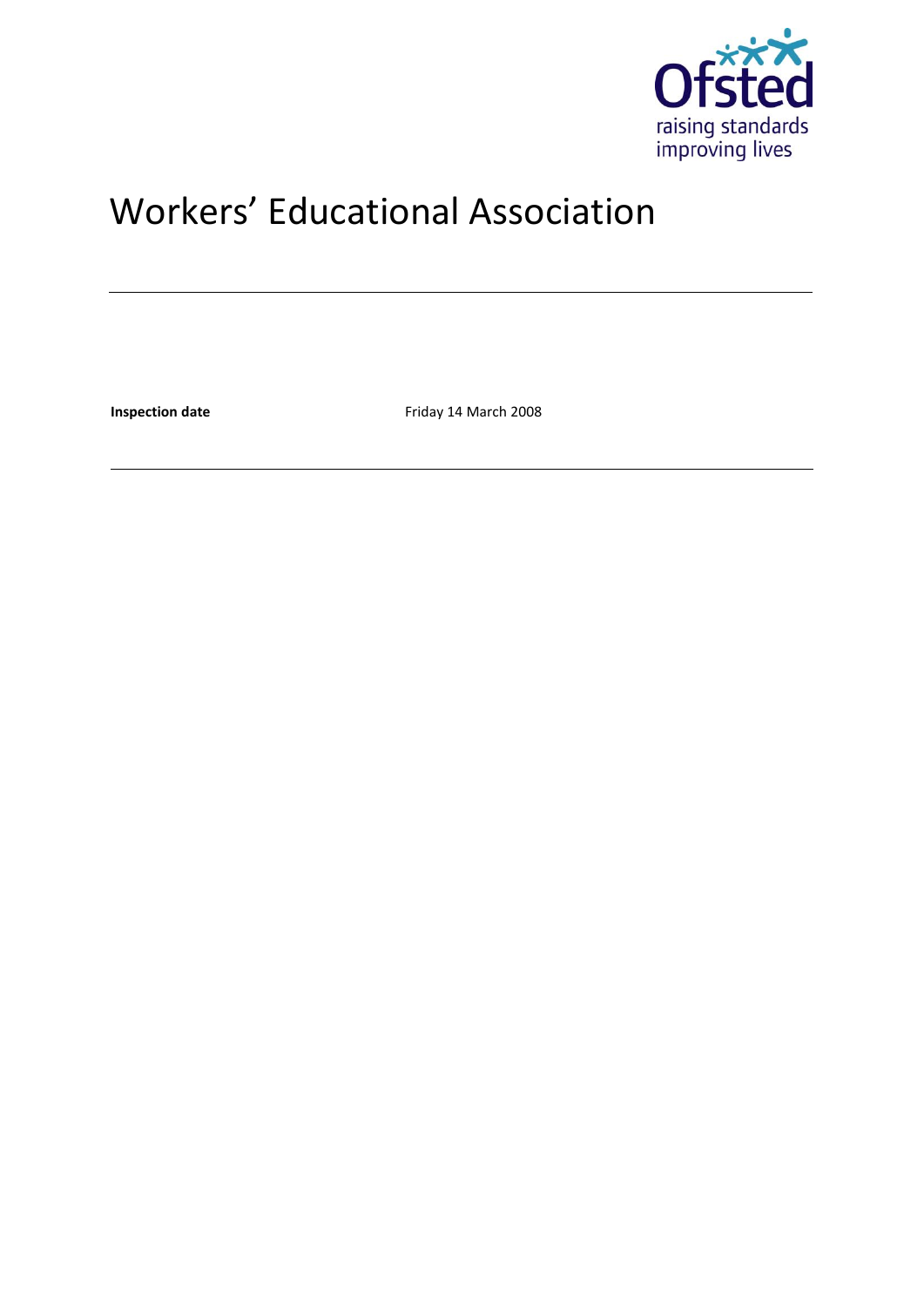

# Workers' Educational Association

**Inspection date** Friday 14 March 2008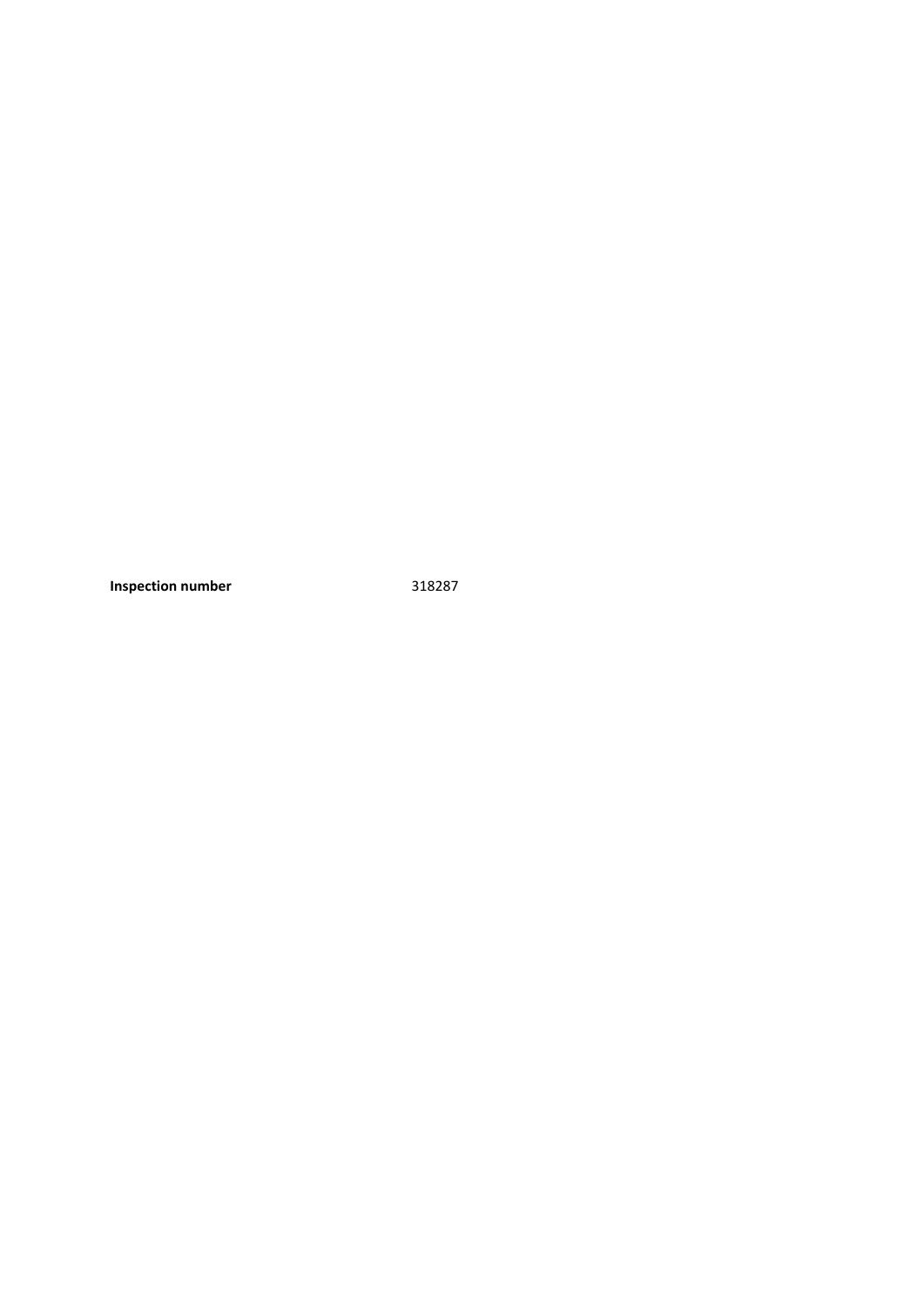**Inspection number** 318287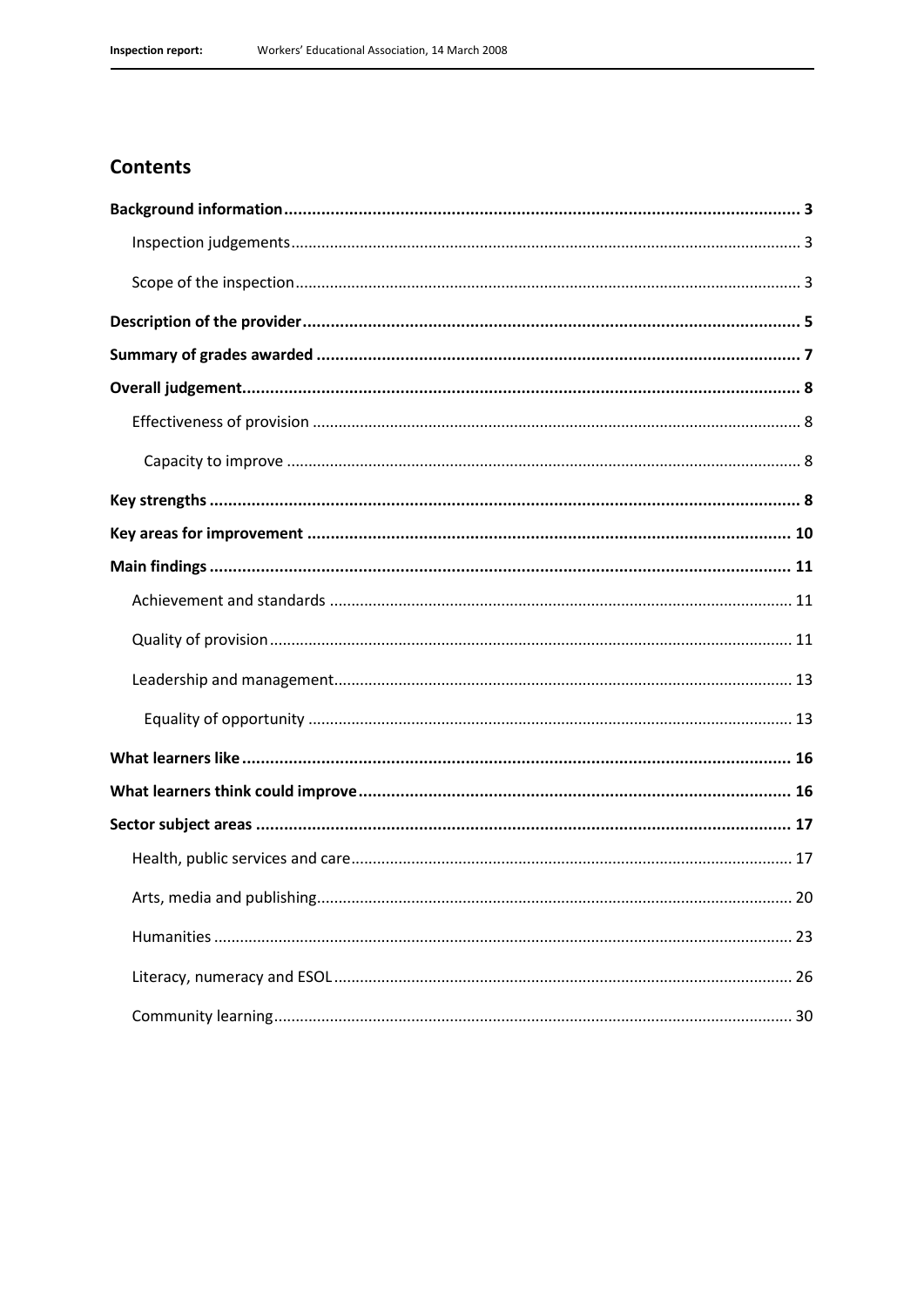### **Contents**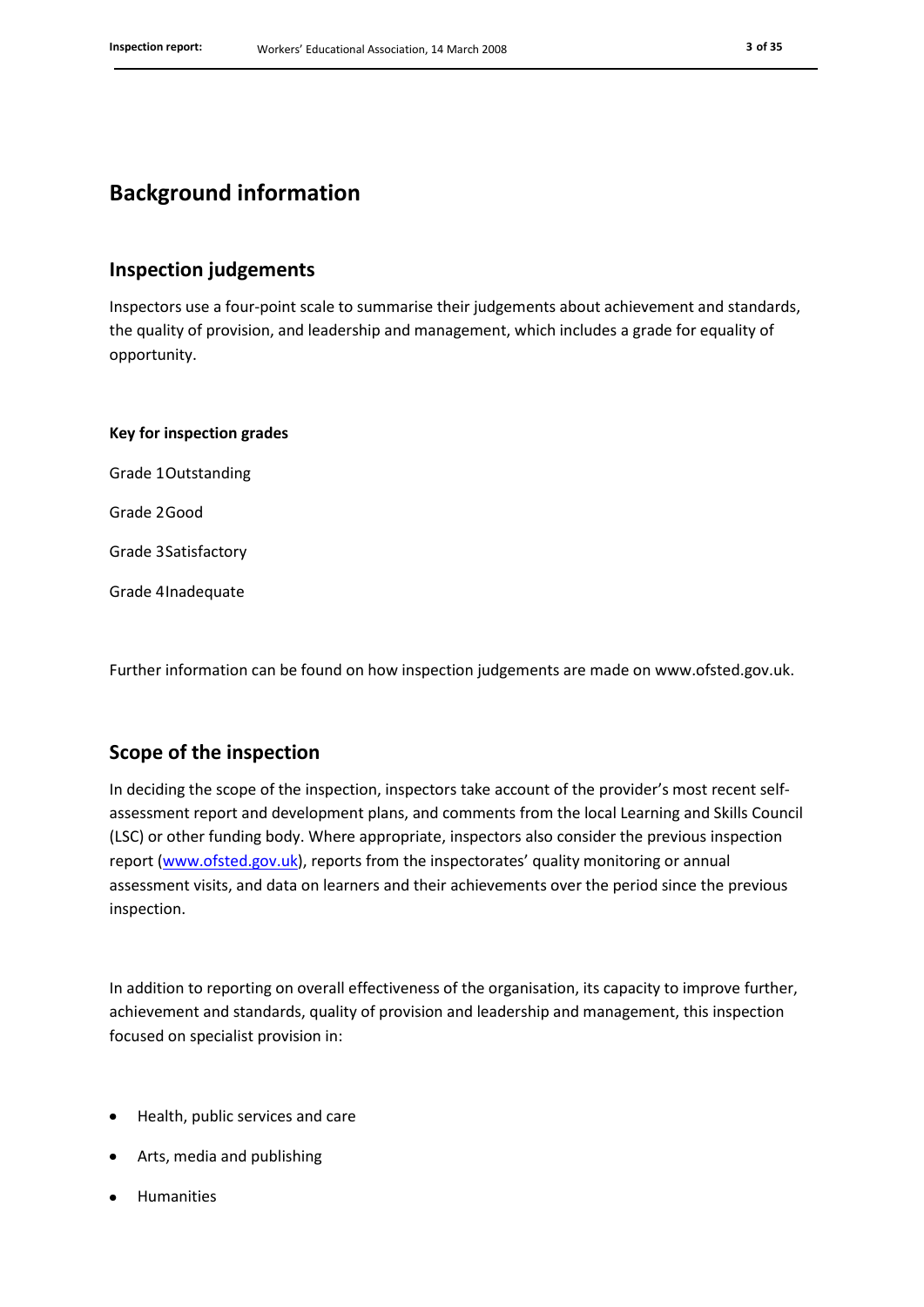### **Background information**

### **Inspection judgements**

Inspectors use a four-point scale to summarise their judgements about achievement and standards, the quality of provision, and leadership and management, which includes a grade for equality of opportunity.

**Key for inspection grades** Grade 1Outstanding Grade 2Good Grade 3Satisfactory Grade 4Inadequate

Further information can be found on how inspection judgements are made on www.ofsted.gov.uk.

#### **Scope of the inspection**

In deciding the scope of the inspection, inspectors take account of the provider's most recent selfassessment report and development plans, and comments from the local Learning and Skills Council (LSC) or other funding body. Where appropriate, inspectors also consider the previous inspection report [\(www.ofsted.gov.uk](http://www.ofsted.gov.uk/)), reports from the inspectorates' quality monitoring or annual assessment visits, and data on learners and their achievements over the period since the previous inspection.

In addition to reporting on overall effectiveness of the organisation, its capacity to improve further, achievement and standards, quality of provision and leadership and management, this inspection focused on specialist provision in:

- Health, public services and care
- Arts, media and publishing
- Humanities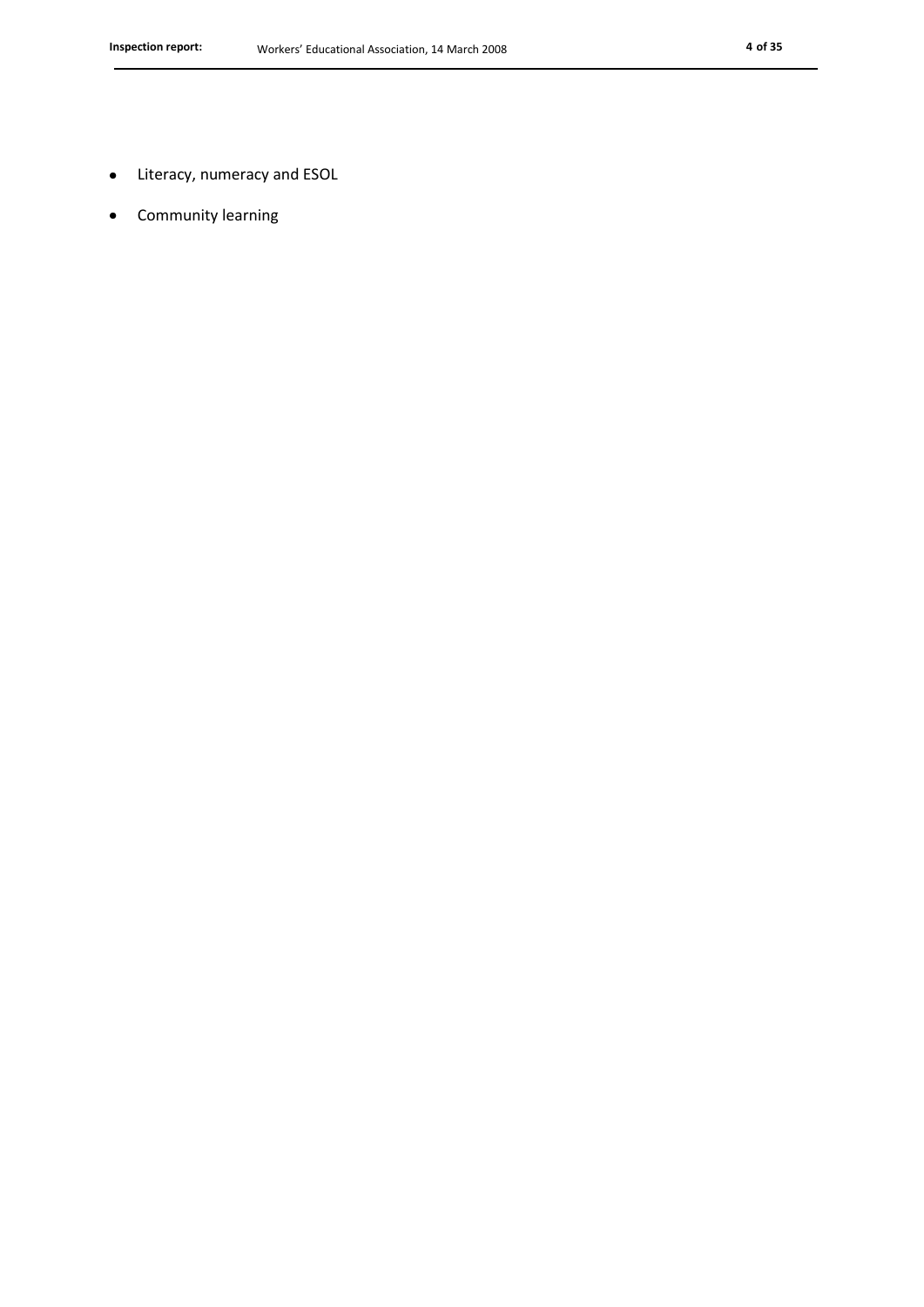- Literacy, numeracy and ESOL  $\bullet$
- Community learning $\bullet$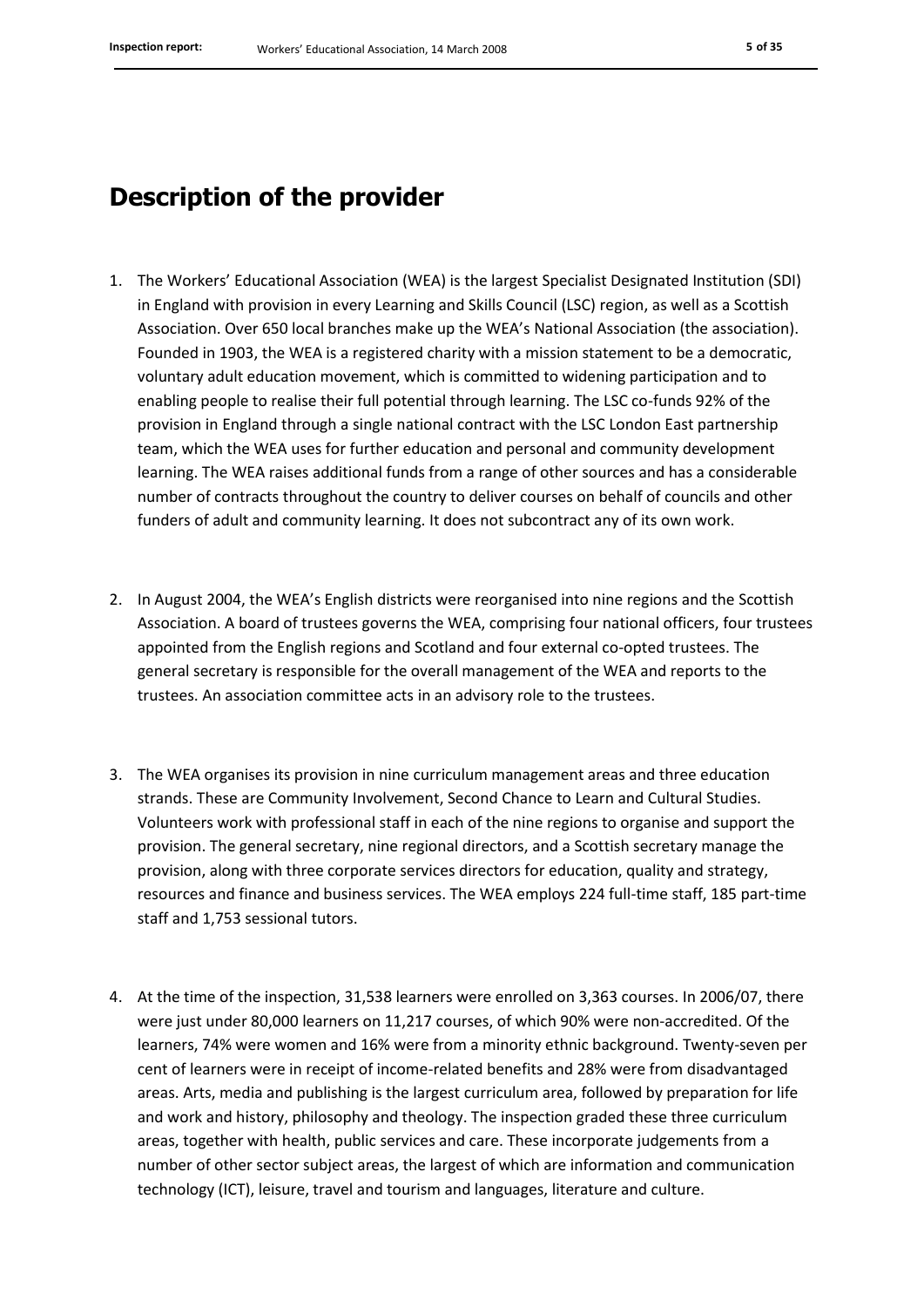### **Description of the provider**

- 1. The Workers' Educational Association (WEA) is the largest Specialist Designated Institution (SDI) in England with provision in every Learning and Skills Council (LSC) region, as well as a Scottish Association. Over 650 local branches make up the WEA's National Association (the association). Founded in 1903, the WEA is a registered charity with a mission statement to be a democratic, voluntary adult education movement, which is committed to widening participation and to enabling people to realise their full potential through learning. The LSC co-funds 92% of the provision in England through a single national contract with the LSC London East partnership team, which the WEA uses for further education and personal and community development learning. The WEA raises additional funds from a range of other sources and has a considerable number of contracts throughout the country to deliver courses on behalf of councils and other funders of adult and community learning. It does not subcontract any of its own work.
- 2. In August 2004, the WEA's English districts were reorganised into nine regions and the Scottish Association. A board of trustees governs the WEA, comprising four national officers, four trustees appointed from the English regions and Scotland and four external co-opted trustees. The general secretary is responsible for the overall management of the WEA and reports to the trustees. An association committee acts in an advisory role to the trustees.
- 3. The WEA organises its provision in nine curriculum management areas and three education strands. These are Community Involvement, Second Chance to Learn and Cultural Studies. Volunteers work with professional staff in each of the nine regions to organise and support the provision. The general secretary, nine regional directors, and a Scottish secretary manage the provision, along with three corporate services directors for education, quality and strategy, resources and finance and business services. The WEA employs 224 full-time staff, 185 part-time staff and 1,753 sessional tutors.
- 4. At the time of the inspection, 31,538 learners were enrolled on 3,363 courses. In 2006/07, there were just under 80,000 learners on 11,217 courses, of which 90% were non-accredited. Of the learners, 74% were women and 16% were from a minority ethnic background. Twenty-seven per cent of learners were in receipt of income-related benefits and 28% were from disadvantaged areas. Arts, media and publishing is the largest curriculum area, followed by preparation for life and work and history, philosophy and theology. The inspection graded these three curriculum areas, together with health, public services and care. These incorporate judgements from a number of other sector subject areas, the largest of which are information and communication technology (ICT), leisure, travel and tourism and languages, literature and culture.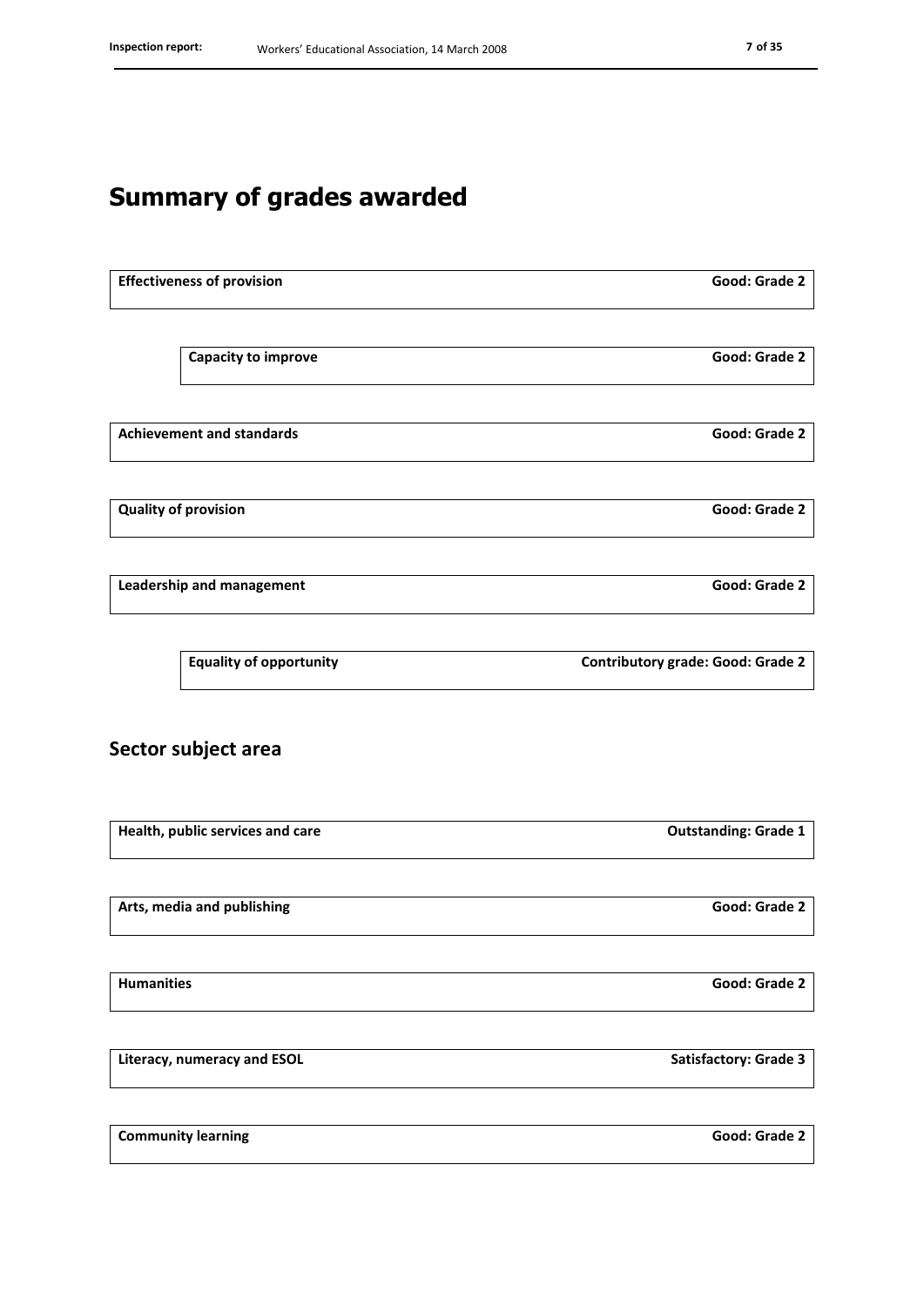## **Summary of grades awarded**

| <b>Effectiveness of provision</b> |                                  | Good: Grade 2                            |  |
|-----------------------------------|----------------------------------|------------------------------------------|--|
|                                   |                                  |                                          |  |
|                                   | <b>Capacity to improve</b>       | Good: Grade 2                            |  |
| <b>Achievement and standards</b>  |                                  | Good: Grade 2                            |  |
|                                   |                                  |                                          |  |
|                                   | <b>Quality of provision</b>      | Good: Grade 2                            |  |
| Leadership and management         |                                  | Good: Grade 2                            |  |
|                                   | <b>Equality of opportunity</b>   | <b>Contributory grade: Good: Grade 2</b> |  |
|                                   | Sector subject area              |                                          |  |
|                                   | Health, public services and care | <b>Outstanding: Grade 1</b>              |  |

|  |  |  | Arts, media and publishing |  |
|--|--|--|----------------------------|--|
|--|--|--|----------------------------|--|

**Humanities Good: Grade 2**

**Literacy, numeracy and ESOL Satisfactory:** Grade 3

**Community learning Good: Grade 2** 

**Arts, media and publishing Good: Grade 2**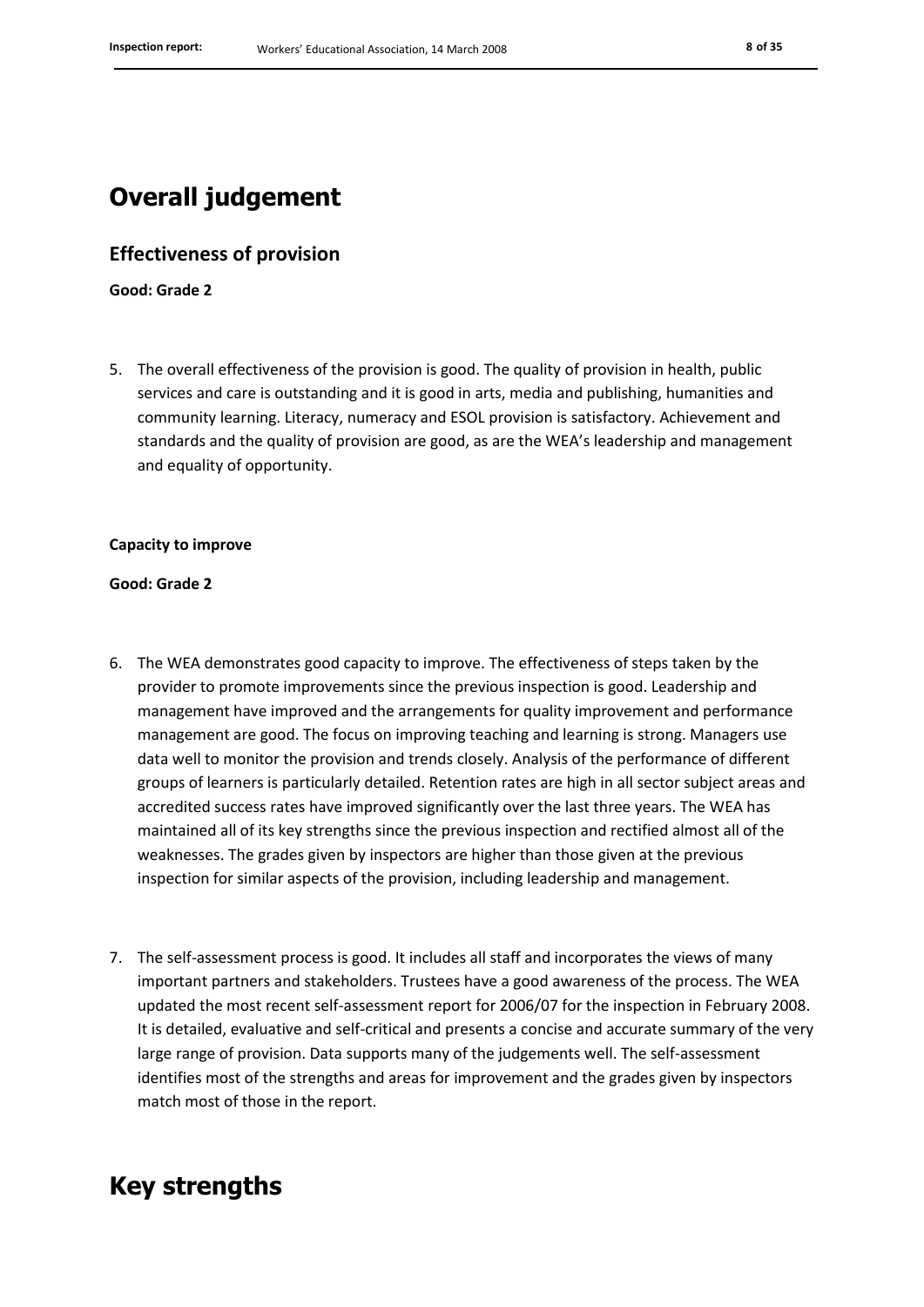### **Overall judgement**

#### **Effectiveness of provision**

**Good: Grade 2**

5. The overall effectiveness of the provision is good. The quality of provision in health, public services and care is outstanding and it is good in arts, media and publishing, humanities and community learning. Literacy, numeracy and ESOL provision is satisfactory. Achievement and standards and the quality of provision are good, as are the WEA's leadership and management and equality of opportunity.

#### **Capacity to improve**

#### **Good: Grade 2**

- 6. The WEA demonstrates good capacity to improve. The effectiveness of steps taken by the provider to promote improvements since the previous inspection is good. Leadership and management have improved and the arrangements for quality improvement and performance management are good. The focus on improving teaching and learning is strong. Managers use data well to monitor the provision and trends closely. Analysis of the performance of different groups of learners is particularly detailed. Retention rates are high in all sector subject areas and accredited success rates have improved significantly over the last three years. The WEA has maintained all of its key strengths since the previous inspection and rectified almost all of the weaknesses. The grades given by inspectors are higher than those given at the previous inspection for similar aspects of the provision, including leadership and management.
- 7. The self-assessment process is good. It includes all staff and incorporates the views of many important partners and stakeholders. Trustees have a good awareness of the process. The WEA updated the most recent self-assessment report for 2006/07 for the inspection in February 2008. It is detailed, evaluative and self-critical and presents a concise and accurate summary of the very large range of provision. Data supports many of the judgements well. The self-assessment identifies most of the strengths and areas for improvement and the grades given by inspectors match most of those in the report.

### **Key strengths**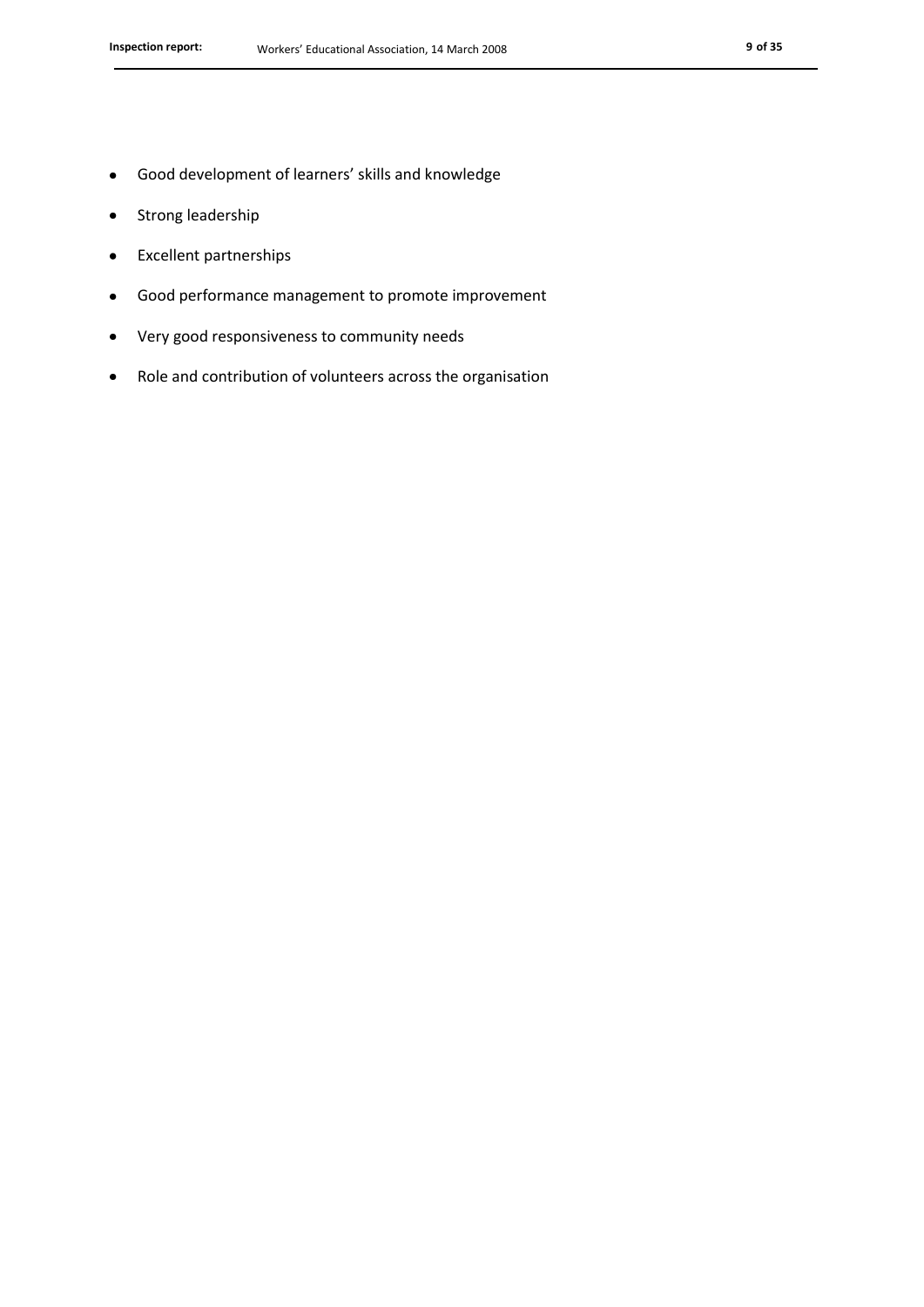- Strong leadership  $\bullet$
- Excellent partnerships  $\bullet$
- Good performance management to promote improvement  $\bullet$
- Very good responsiveness to community needs  $\bullet$
- Role and contribution of volunteers across the organisation $\bullet$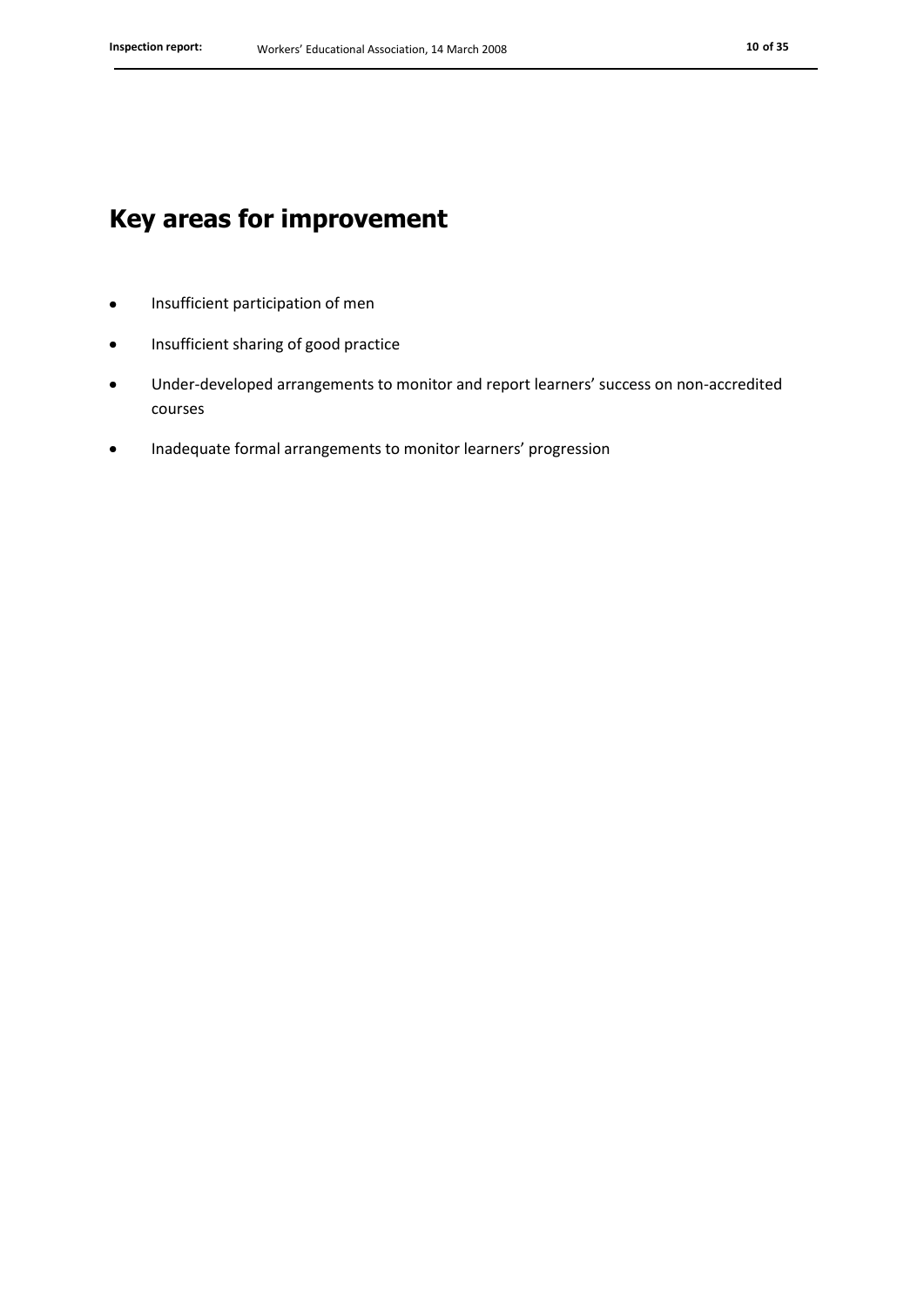### **Key areas for improvement**

- Insufficient participation of men  $\bullet$
- Insufficient sharing of good practice  $\bullet$
- Under-developed arrangements to monitor and report learners' success on non-accredited  $\bullet$ courses
- Inadequate formal arrangements to monitor learners' progression $\bullet$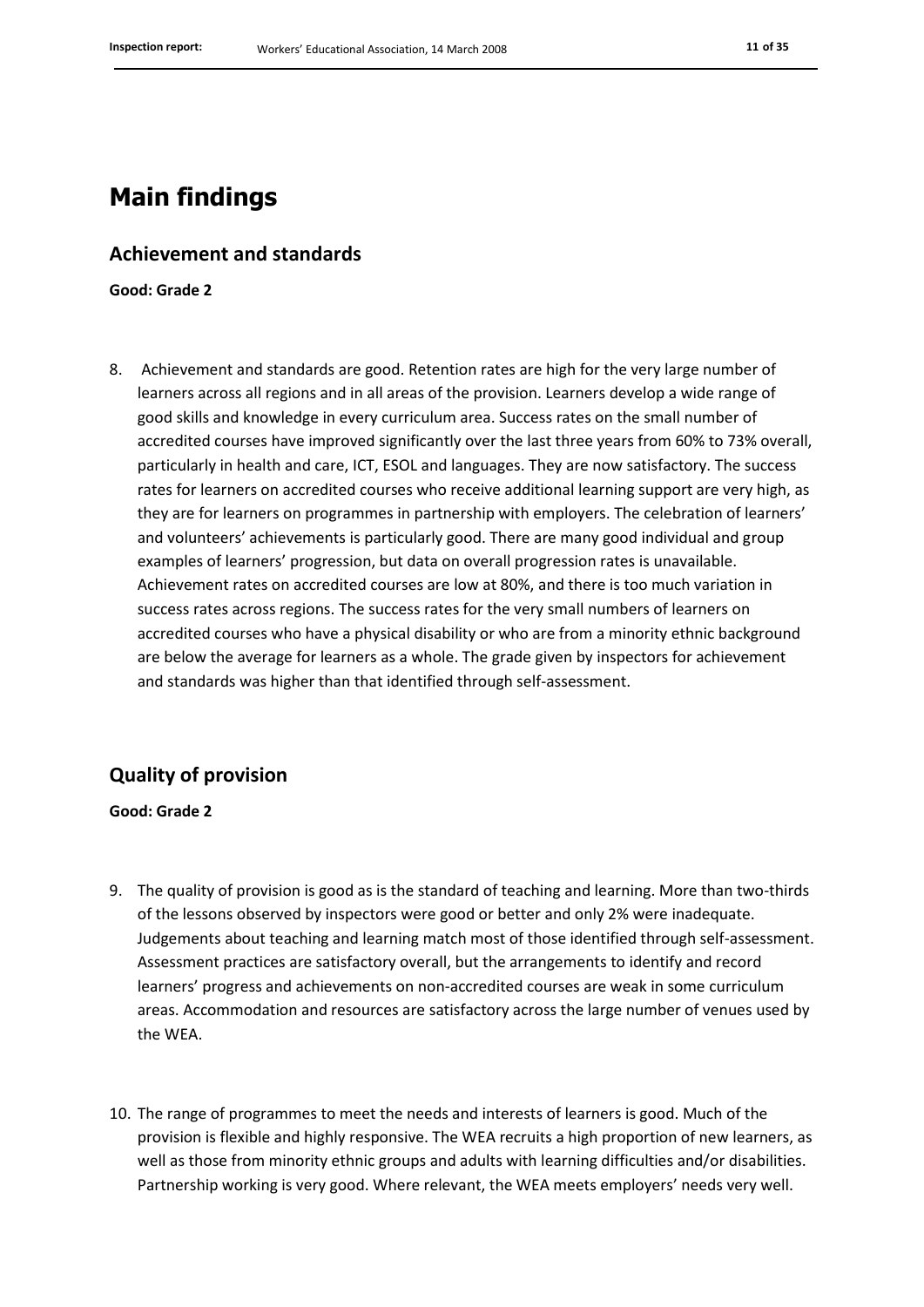### **Main findings**

#### **Achievement and standards**

**Good: Grade 2**

8. Achievement and standards are good. Retention rates are high for the very large number of learners across all regions and in all areas of the provision. Learners develop a wide range of good skills and knowledge in every curriculum area. Success rates on the small number of accredited courses have improved significantly over the last three years from 60% to 73% overall, particularly in health and care, ICT, ESOL and languages. They are now satisfactory. The success rates for learners on accredited courses who receive additional learning support are very high, as they are for learners on programmes in partnership with employers. The celebration of learners' and volunteers' achievements is particularly good. There are many good individual and group examples of learners' progression, but data on overall progression rates is unavailable. Achievement rates on accredited courses are low at 80%, and there is too much variation in success rates across regions. The success rates for the very small numbers of learners on accredited courses who have a physical disability or who are from a minority ethnic background are below the average for learners as a whole. The grade given by inspectors for achievement and standards was higher than that identified through self-assessment.

### **Quality of provision**

**Good: Grade 2**

- 9. The quality of provision is good as is the standard of teaching and learning. More than two-thirds of the lessons observed by inspectors were good or better and only 2% were inadequate. Judgements about teaching and learning match most of those identified through self-assessment. Assessment practices are satisfactory overall, but the arrangements to identify and record learners' progress and achievements on non-accredited courses are weak in some curriculum areas. Accommodation and resources are satisfactory across the large number of venues used by the WEA.
- 10. The range of programmes to meet the needs and interests of learners is good. Much of the provision is flexible and highly responsive. The WEA recruits a high proportion of new learners, as well as those from minority ethnic groups and adults with learning difficulties and/or disabilities. Partnership working is very good. Where relevant, the WEA meets employers' needs very well.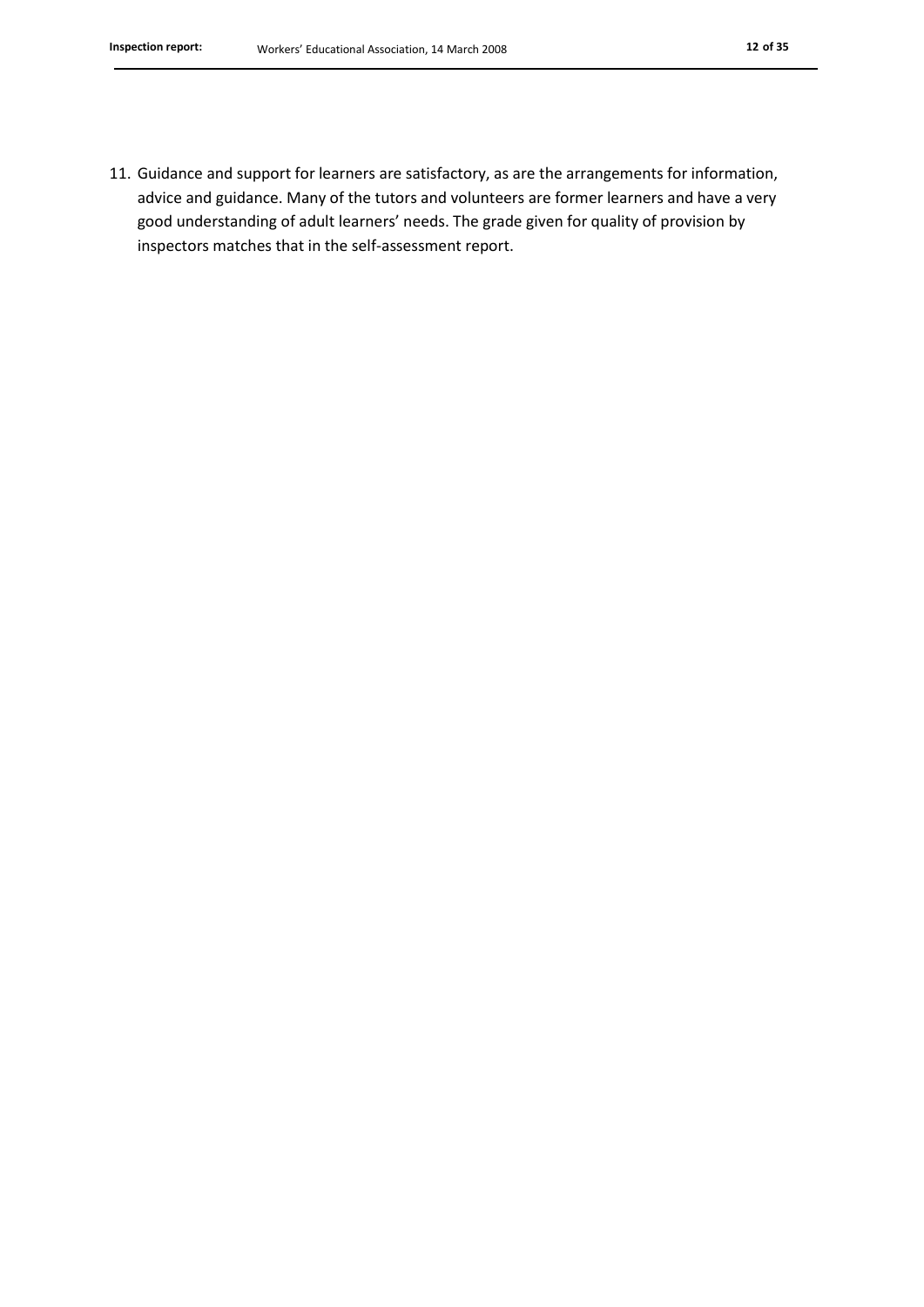11. Guidance and support for learners are satisfactory, as are the arrangements for information, advice and guidance. Many of the tutors and volunteers are former learners and have a very good understanding of adult learners' needs. The grade given for quality of provision by inspectors matches that in the self-assessment report.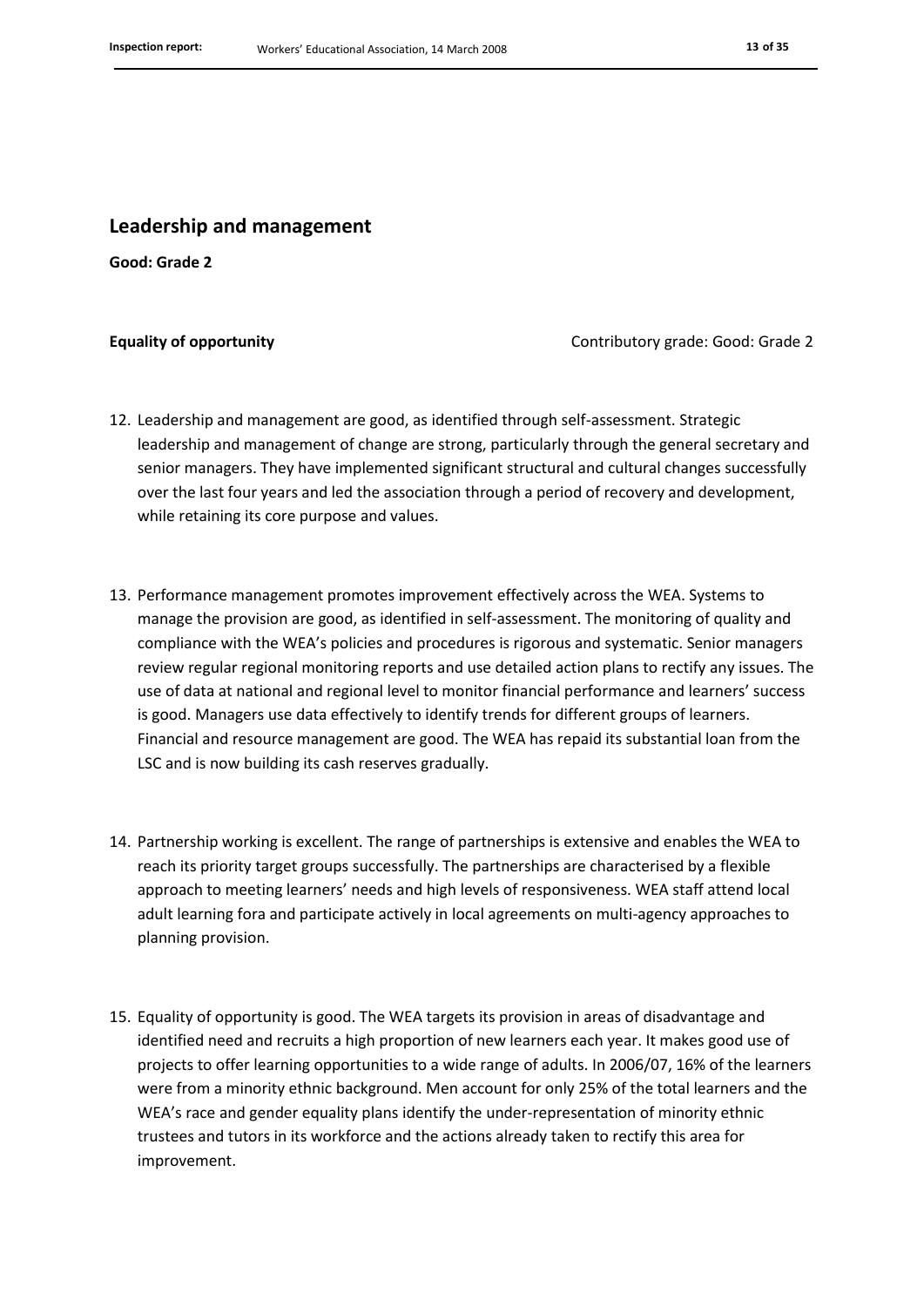#### **Leadership and management**

**Good: Grade 2**

**Equality of opportunity Contributory grade: Good: Grade 2** Contributory grade: Good: Grade 2

- 12. Leadership and management are good, as identified through self-assessment. Strategic leadership and management of change are strong, particularly through the general secretary and senior managers. They have implemented significant structural and cultural changes successfully over the last four years and led the association through a period of recovery and development, while retaining its core purpose and values.
- 13. Performance management promotes improvement effectively across the WEA. Systems to manage the provision are good, as identified in self-assessment. The monitoring of quality and compliance with the WEA's policies and procedures is rigorous and systematic. Senior managers review regular regional monitoring reports and use detailed action plans to rectify any issues. The use of data at national and regional level to monitor financial performance and learners' success is good. Managers use data effectively to identify trends for different groups of learners. Financial and resource management are good. The WEA has repaid its substantial loan from the LSC and is now building its cash reserves gradually.
- 14. Partnership working is excellent. The range of partnerships is extensive and enables the WEA to reach its priority target groups successfully. The partnerships are characterised by a flexible approach to meeting learners' needs and high levels of responsiveness. WEA staff attend local adult learning fora and participate actively in local agreements on multi-agency approaches to planning provision.
- 15. Equality of opportunity is good. The WEA targets its provision in areas of disadvantage and identified need and recruits a high proportion of new learners each year. It makes good use of projects to offer learning opportunities to a wide range of adults. In 2006/07, 16% of the learners were from a minority ethnic background. Men account for only 25% of the total learners and the WEA's race and gender equality plans identify the under-representation of minority ethnic trustees and tutors in its workforce and the actions already taken to rectify this area for improvement.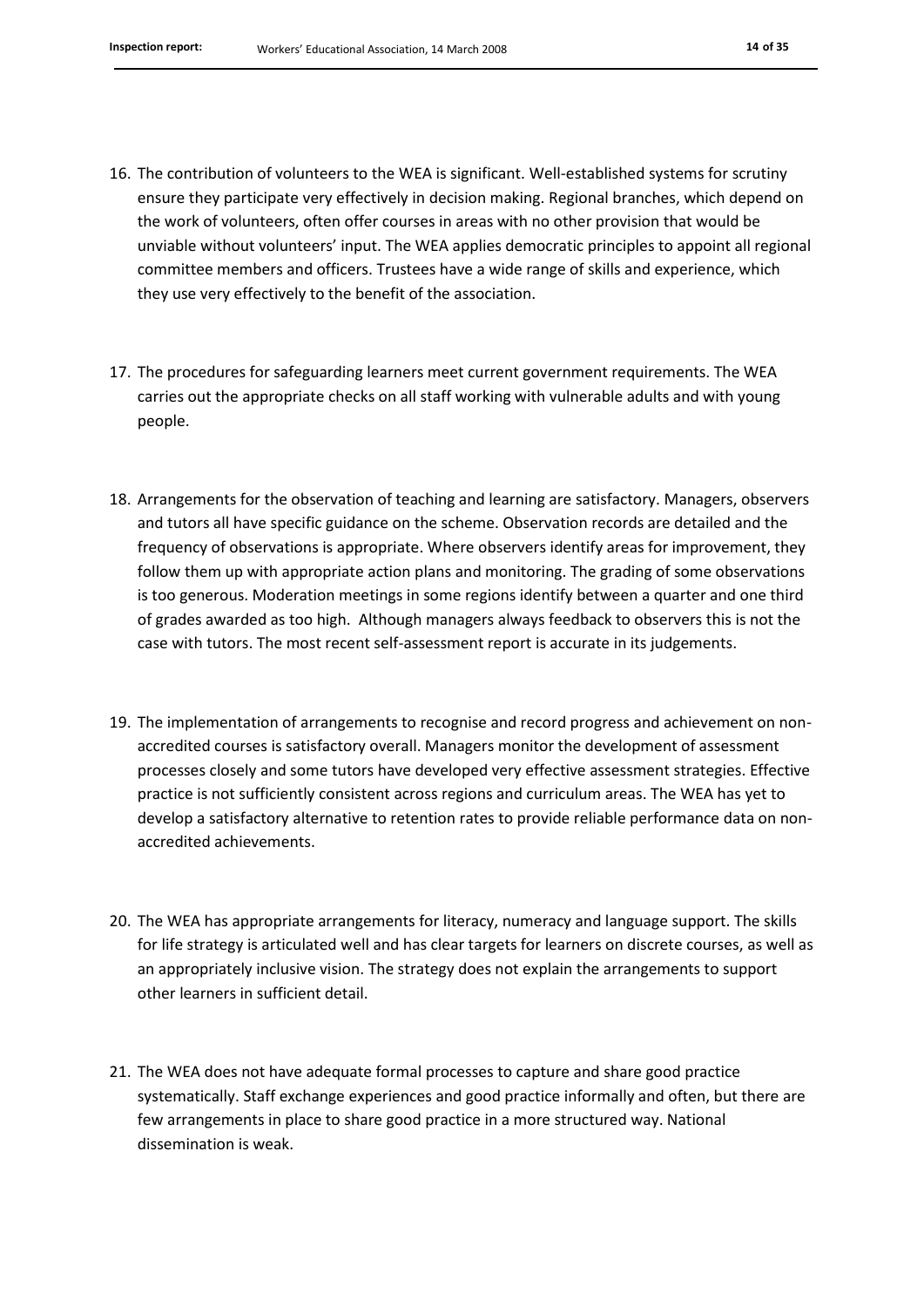- 16. The contribution of volunteers to the WEA is significant. Well-established systems for scrutiny ensure they participate very effectively in decision making. Regional branches, which depend on the work of volunteers, often offer courses in areas with no other provision that would be unviable without volunteers' input. The WEA applies democratic principles to appoint all regional committee members and officers. Trustees have a wide range of skills and experience, which they use very effectively to the benefit of the association.
- 17. The procedures for safeguarding learners meet current government requirements. The WEA carries out the appropriate checks on all staff working with vulnerable adults and with young people.
- 18. Arrangements for the observation of teaching and learning are satisfactory. Managers, observers and tutors all have specific guidance on the scheme. Observation records are detailed and the frequency of observations is appropriate. Where observers identify areas for improvement, they follow them up with appropriate action plans and monitoring. The grading of some observations is too generous. Moderation meetings in some regions identify between a quarter and one third of grades awarded as too high. Although managers always feedback to observers this is not the case with tutors. The most recent self-assessment report is accurate in its judgements.
- 19. The implementation of arrangements to recognise and record progress and achievement on nonaccredited courses is satisfactory overall. Managers monitor the development of assessment processes closely and some tutors have developed very effective assessment strategies. Effective practice is not sufficiently consistent across regions and curriculum areas. The WEA has yet to develop a satisfactory alternative to retention rates to provide reliable performance data on nonaccredited achievements.
- 20. The WEA has appropriate arrangements for literacy, numeracy and language support. The skills for life strategy is articulated well and has clear targets for learners on discrete courses, as well as an appropriately inclusive vision. The strategy does not explain the arrangements to support other learners in sufficient detail.
- 21. The WEA does not have adequate formal processes to capture and share good practice systematically. Staff exchange experiences and good practice informally and often, but there are few arrangements in place to share good practice in a more structured way. National dissemination is weak.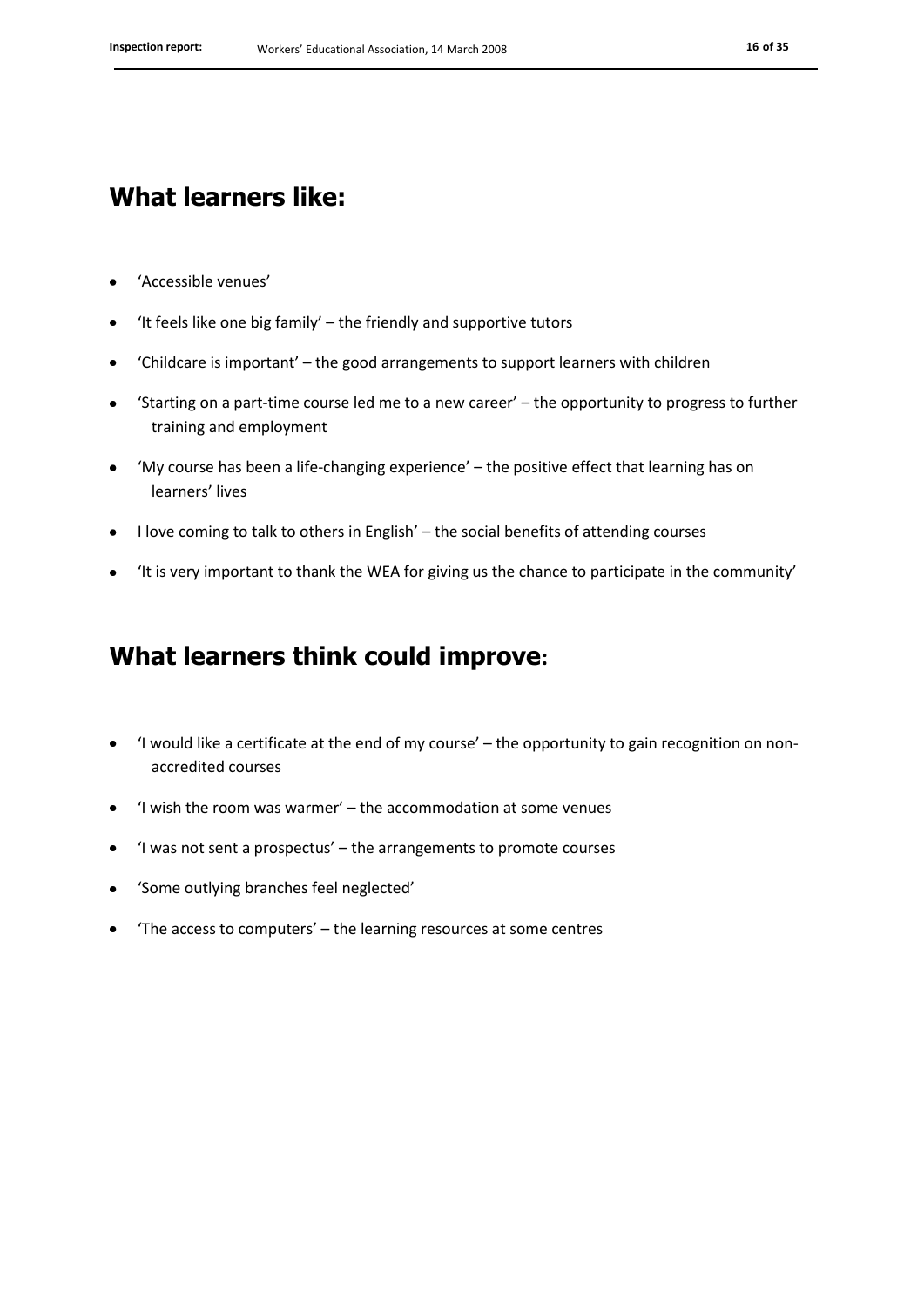### **What learners like:**

- 'Accessible venues'
- 'It feels like one big family' the friendly and supportive tutors  $\bullet$
- 'Childcare is important' the good arrangements to support learners with children  $\bullet$
- 'Starting on a part-time course led me to a new career' the opportunity to progress to further training and employment
- 'My course has been a life-changing experience' the positive effect that learning has on learners' lives
- I love coming to talk to others in English' the social benefits of attending courses  $\bullet$
- 'It is very important to thank the WEA for giving us the chance to participate in the community'  $\bullet$

### **What learners think could improve:**

- 'I would like a certificate at the end of my course' the opportunity to gain recognition on nonaccredited courses
- 'I wish the room was warmer' the accommodation at some venues  $\bullet$
- 'I was not sent a prospectus' the arrangements to promote courses  $\bullet$
- 'Some outlying branches feel neglected'  $\bullet$
- 'The access to computers' the learning resources at some centres $\bullet$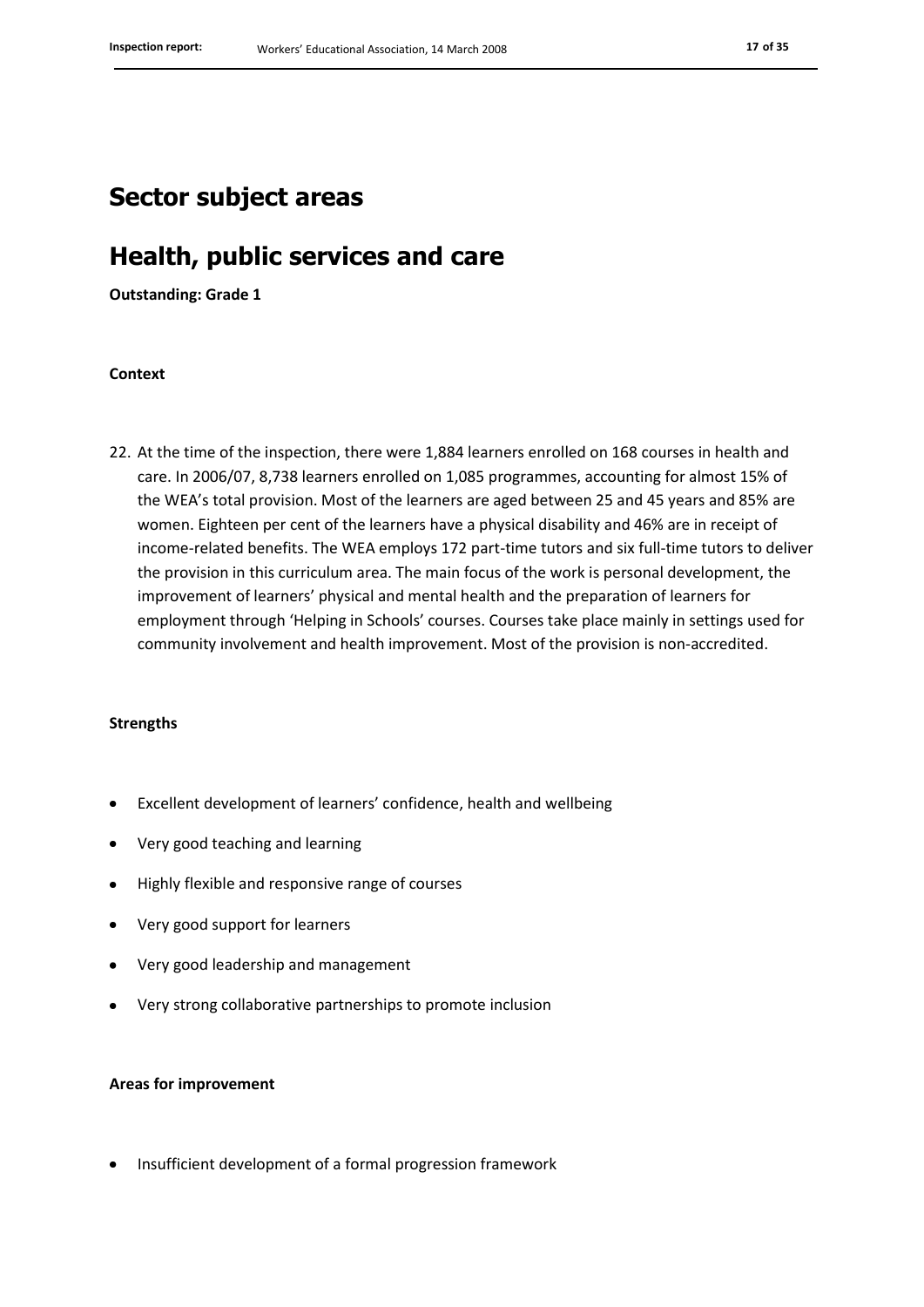### **Sector subject areas**

### **Health, public services and care**

**Outstanding: Grade 1**

#### **Context**

22. At the time of the inspection, there were 1,884 learners enrolled on 168 courses in health and care. In 2006/07, 8,738 learners enrolled on 1,085 programmes, accounting for almost 15% of the WEA's total provision. Most of the learners are aged between 25 and 45 years and 85% are women. Eighteen per cent of the learners have a physical disability and 46% are in receipt of income-related benefits. The WEA employs 172 part-time tutors and six full-time tutors to deliver the provision in this curriculum area. The main focus of the work is personal development, the improvement of learners' physical and mental health and the preparation of learners for employment through 'Helping in Schools' courses. Courses take place mainly in settings used for community involvement and health improvement. Most of the provision is non-accredited.

#### **Strengths**

- Excellent development of learners' confidence, health and wellbeing
- Very good teaching and learning
- Highly flexible and responsive range of courses
- Very good support for learners
- Very good leadership and management
- Very strong collaborative partnerships to promote inclusion

#### **Areas for improvement**

Insufficient development of a formal progression framework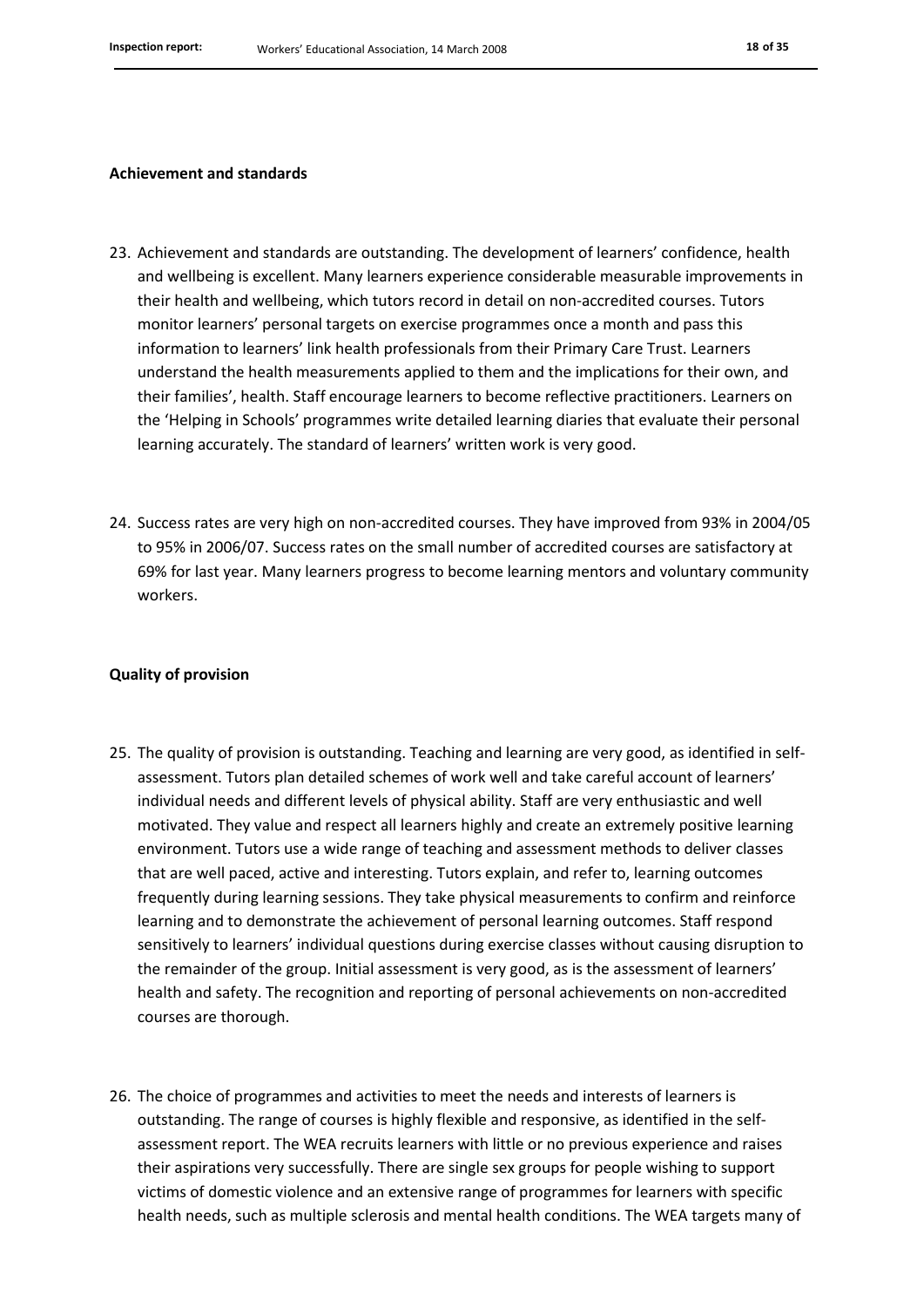#### **Achievement and standards**

- 23. Achievement and standards are outstanding. The development of learners' confidence, health and wellbeing is excellent. Many learners experience considerable measurable improvements in their health and wellbeing, which tutors record in detail on non-accredited courses. Tutors monitor learners' personal targets on exercise programmes once a month and pass this information to learners' link health professionals from their Primary Care Trust. Learners understand the health measurements applied to them and the implications for their own, and their families', health. Staff encourage learners to become reflective practitioners. Learners on the 'Helping in Schools' programmes write detailed learning diaries that evaluate their personal learning accurately. The standard of learners' written work is very good.
- 24. Success rates are very high on non-accredited courses. They have improved from 93% in 2004/05 to 95% in 2006/07. Success rates on the small number of accredited courses are satisfactory at 69% for last year. Many learners progress to become learning mentors and voluntary community workers.

#### **Quality of provision**

- 25. The quality of provision is outstanding. Teaching and learning are very good, as identified in selfassessment. Tutors plan detailed schemes of work well and take careful account of learners' individual needs and different levels of physical ability. Staff are very enthusiastic and well motivated. They value and respect all learners highly and create an extremely positive learning environment. Tutors use a wide range of teaching and assessment methods to deliver classes that are well paced, active and interesting. Tutors explain, and refer to, learning outcomes frequently during learning sessions. They take physical measurements to confirm and reinforce learning and to demonstrate the achievement of personal learning outcomes. Staff respond sensitively to learners' individual questions during exercise classes without causing disruption to the remainder of the group. Initial assessment is very good, as is the assessment of learners' health and safety. The recognition and reporting of personal achievements on non-accredited courses are thorough.
- 26. The choice of programmes and activities to meet the needs and interests of learners is outstanding. The range of courses is highly flexible and responsive, as identified in the selfassessment report. The WEA recruits learners with little or no previous experience and raises their aspirations very successfully. There are single sex groups for people wishing to support victims of domestic violence and an extensive range of programmes for learners with specific health needs, such as multiple sclerosis and mental health conditions. The WEA targets many of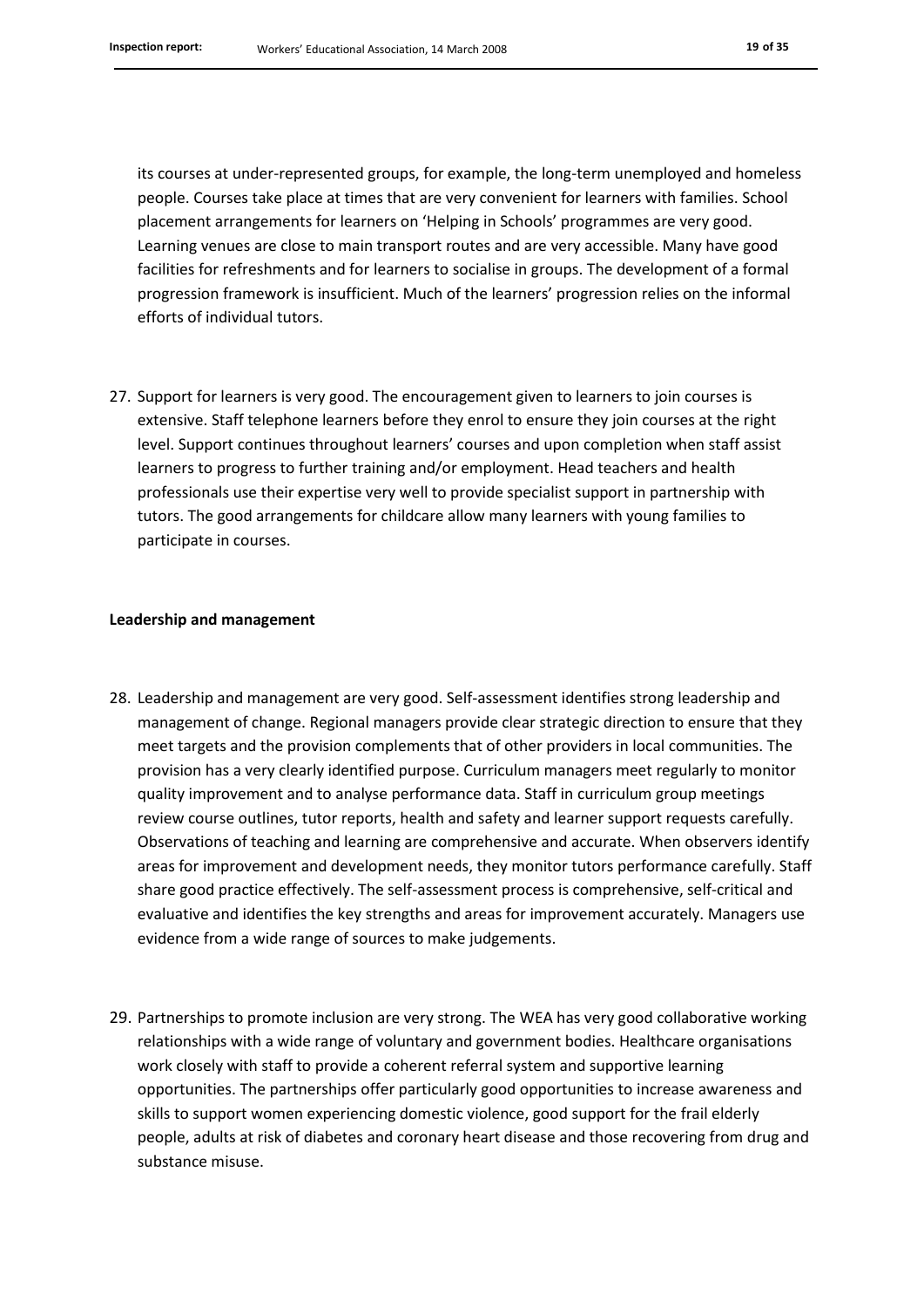its courses at under-represented groups, for example, the long-term unemployed and homeless people. Courses take place at times that are very convenient for learners with families. School placement arrangements for learners on 'Helping in Schools' programmes are very good. Learning venues are close to main transport routes and are very accessible. Many have good facilities for refreshments and for learners to socialise in groups. The development of a formal progression framework is insufficient. Much of the learners' progression relies on the informal efforts of individual tutors.

27. Support for learners is very good. The encouragement given to learners to join courses is extensive. Staff telephone learners before they enrol to ensure they join courses at the right level. Support continues throughout learners' courses and upon completion when staff assist learners to progress to further training and/or employment. Head teachers and health professionals use their expertise very well to provide specialist support in partnership with tutors. The good arrangements for childcare allow many learners with young families to participate in courses.

#### **Leadership and management**

- 28. Leadership and management are very good. Self-assessment identifies strong leadership and management of change. Regional managers provide clear strategic direction to ensure that they meet targets and the provision complements that of other providers in local communities. The provision has a very clearly identified purpose. Curriculum managers meet regularly to monitor quality improvement and to analyse performance data. Staff in curriculum group meetings review course outlines, tutor reports, health and safety and learner support requests carefully. Observations of teaching and learning are comprehensive and accurate. When observers identify areas for improvement and development needs, they monitor tutors performance carefully. Staff share good practice effectively. The self-assessment process is comprehensive, self-critical and evaluative and identifies the key strengths and areas for improvement accurately. Managers use evidence from a wide range of sources to make judgements.
- 29. Partnerships to promote inclusion are very strong. The WEA has very good collaborative working relationships with a wide range of voluntary and government bodies. Healthcare organisations work closely with staff to provide a coherent referral system and supportive learning opportunities. The partnerships offer particularly good opportunities to increase awareness and skills to support women experiencing domestic violence, good support for the frail elderly people, adults at risk of diabetes and coronary heart disease and those recovering from drug and substance misuse.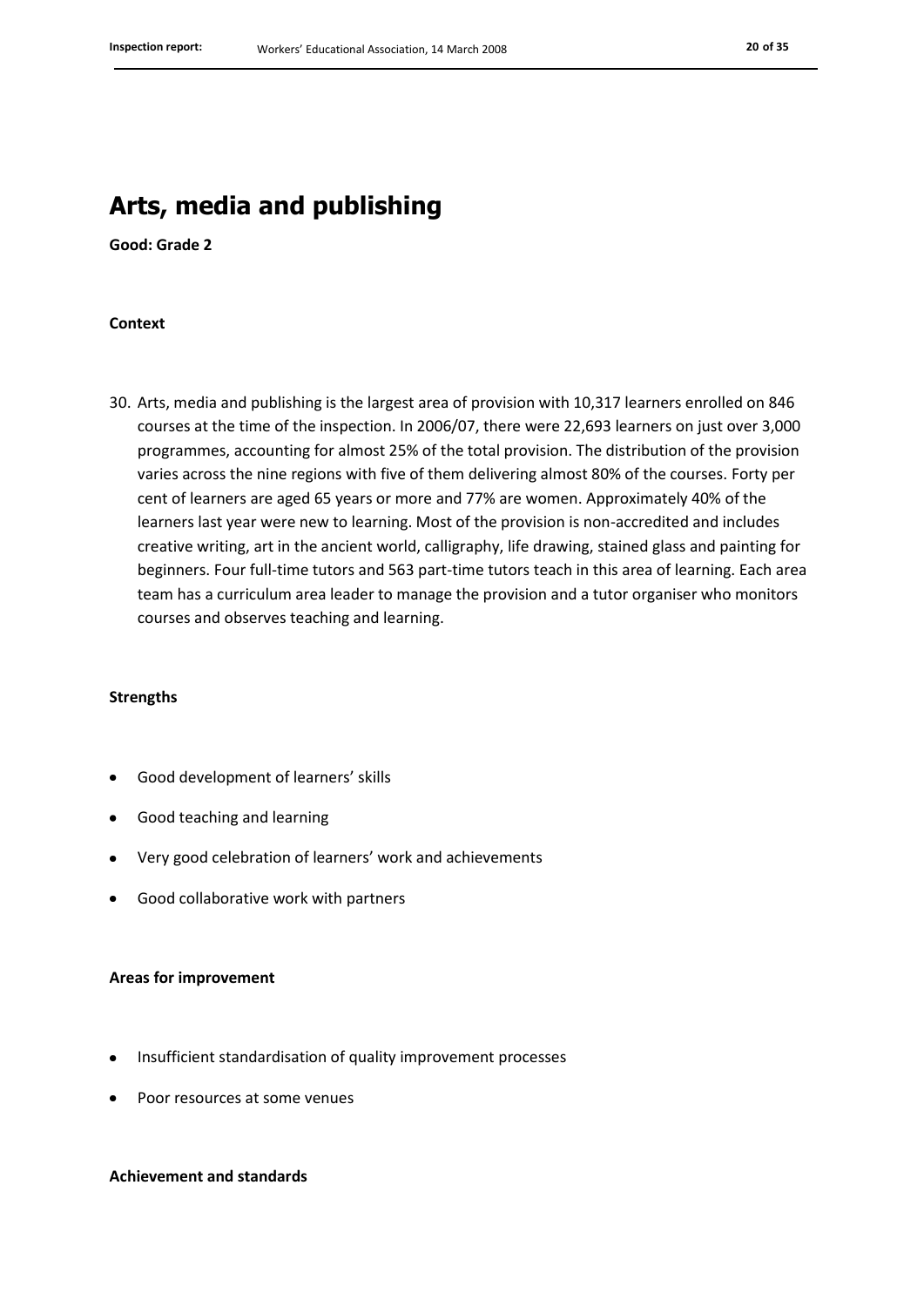### **Arts, media and publishing**

**Good: Grade 2**

#### **Context**

30. Arts, media and publishing is the largest area of provision with 10,317 learners enrolled on 846 courses at the time of the inspection. In 2006/07, there were 22,693 learners on just over 3,000 programmes, accounting for almost 25% of the total provision. The distribution of the provision varies across the nine regions with five of them delivering almost 80% of the courses. Forty per cent of learners are aged 65 years or more and 77% are women. Approximately 40% of the learners last year were new to learning. Most of the provision is non-accredited and includes creative writing, art in the ancient world, calligraphy, life drawing, stained glass and painting for beginners. Four full-time tutors and 563 part-time tutors teach in this area of learning. Each area team has a curriculum area leader to manage the provision and a tutor organiser who monitors courses and observes teaching and learning.

#### **Strengths**

- Good development of learners' skills
- Good teaching and learning
- Very good celebration of learners' work and achievements
- Good collaborative work with partners

#### **Areas for improvement**

- Insufficient standardisation of quality improvement processes
- Poor resources at some venues

#### **Achievement and standards**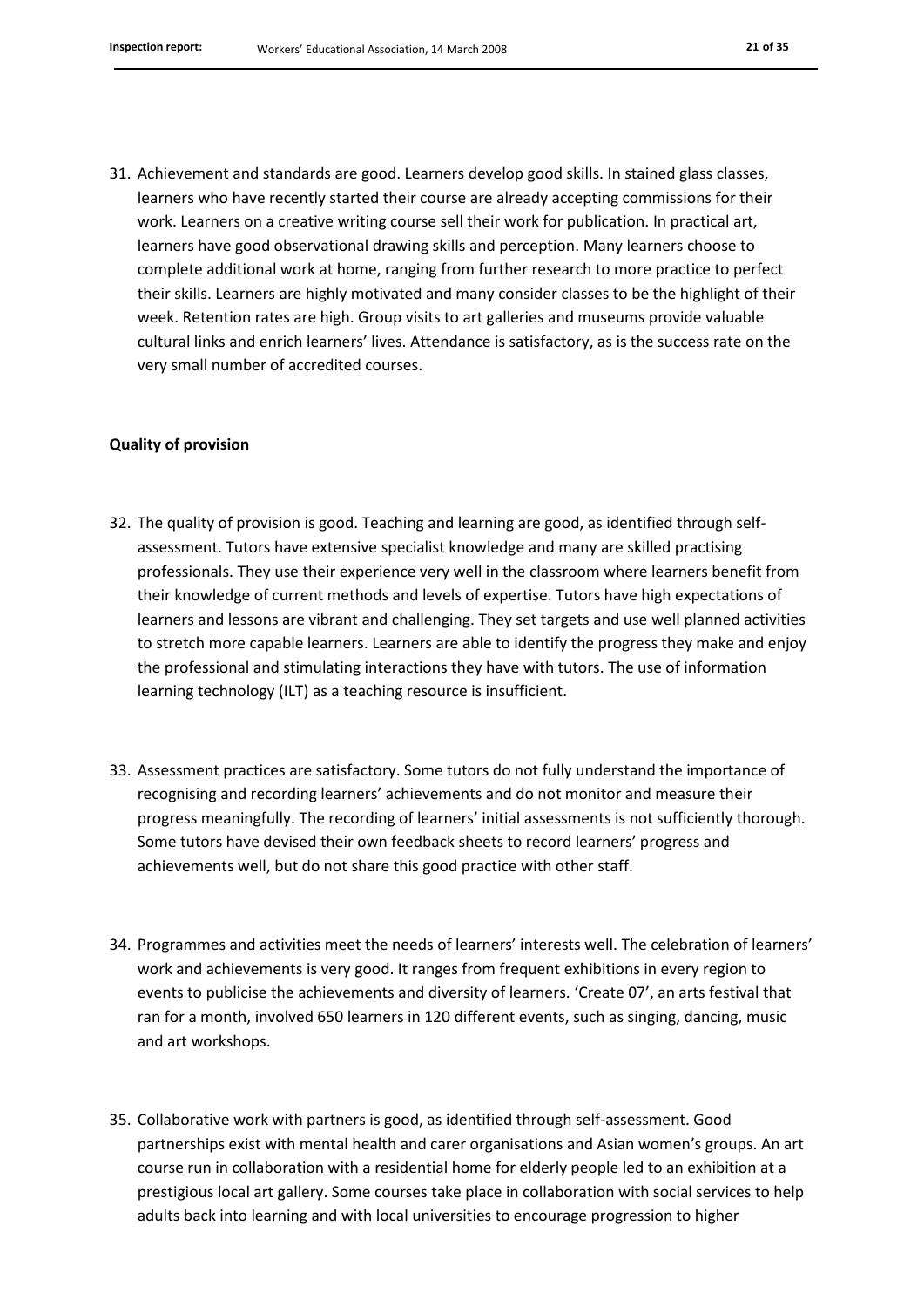31. Achievement and standards are good. Learners develop good skills. In stained glass classes, learners who have recently started their course are already accepting commissions for their work. Learners on a creative writing course sell their work for publication. In practical art, learners have good observational drawing skills and perception. Many learners choose to complete additional work at home, ranging from further research to more practice to perfect their skills. Learners are highly motivated and many consider classes to be the highlight of their week. Retention rates are high. Group visits to art galleries and museums provide valuable cultural links and enrich learners' lives. Attendance is satisfactory, as is the success rate on the very small number of accredited courses.

#### **Quality of provision**

- 32. The quality of provision is good. Teaching and learning are good, as identified through selfassessment. Tutors have extensive specialist knowledge and many are skilled practising professionals. They use their experience very well in the classroom where learners benefit from their knowledge of current methods and levels of expertise. Tutors have high expectations of learners and lessons are vibrant and challenging. They set targets and use well planned activities to stretch more capable learners. Learners are able to identify the progress they make and enjoy the professional and stimulating interactions they have with tutors. The use of information learning technology (ILT) as a teaching resource is insufficient.
- 33. Assessment practices are satisfactory. Some tutors do not fully understand the importance of recognising and recording learners' achievements and do not monitor and measure their progress meaningfully. The recording of learners' initial assessments is not sufficiently thorough. Some tutors have devised their own feedback sheets to record learners' progress and achievements well, but do not share this good practice with other staff.
- 34. Programmes and activities meet the needs of learners' interests well. The celebration of learners' work and achievements is very good. It ranges from frequent exhibitions in every region to events to publicise the achievements and diversity of learners. 'Create 07', an arts festival that ran for a month, involved 650 learners in 120 different events, such as singing, dancing, music and art workshops.
- 35. Collaborative work with partners is good, as identified through self-assessment. Good partnerships exist with mental health and carer organisations and Asian women's groups. An art course run in collaboration with a residential home for elderly people led to an exhibition at a prestigious local art gallery. Some courses take place in collaboration with social services to help adults back into learning and with local universities to encourage progression to higher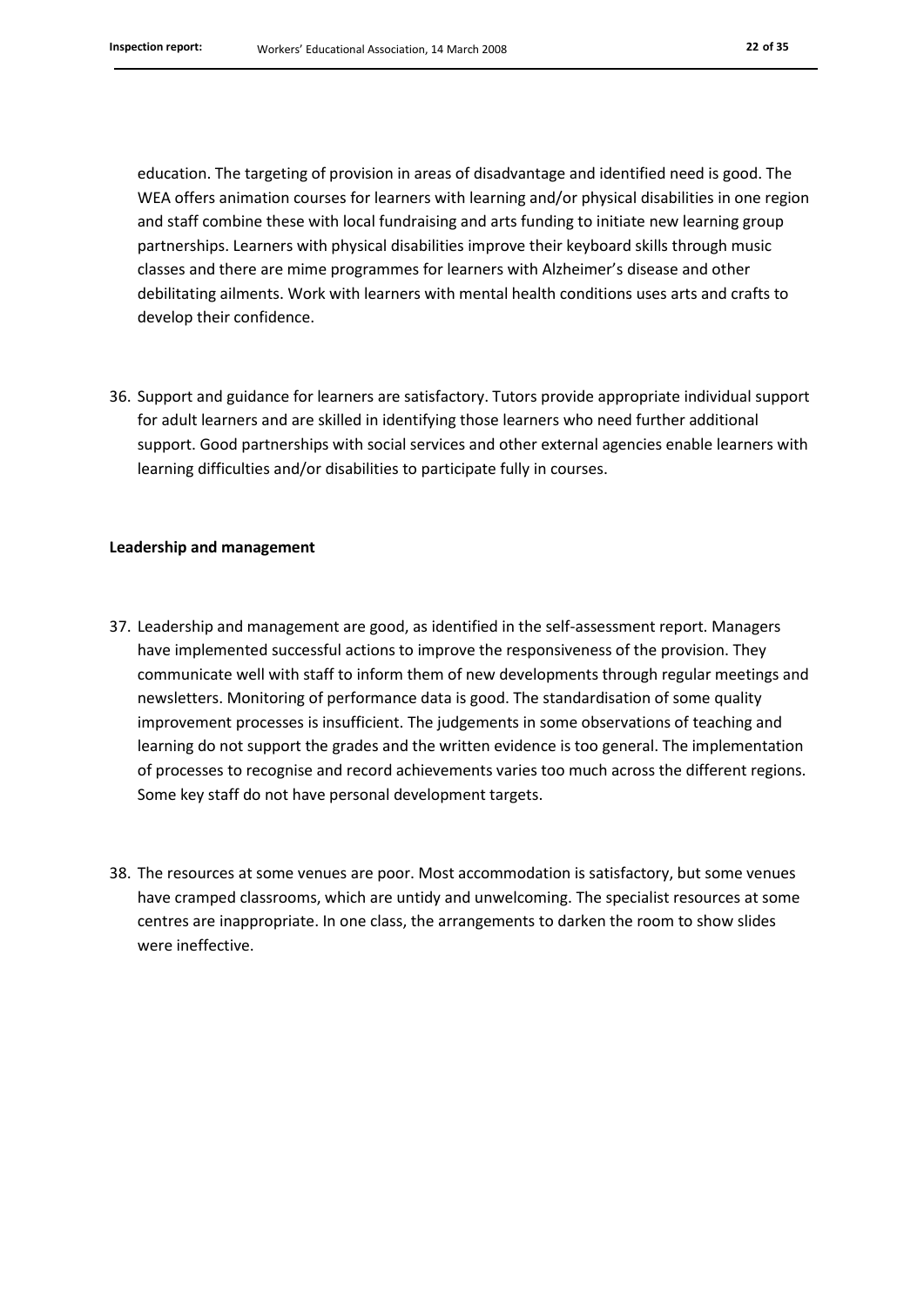education. The targeting of provision in areas of disadvantage and identified need is good. The WEA offers animation courses for learners with learning and/or physical disabilities in one region and staff combine these with local fundraising and arts funding to initiate new learning group partnerships. Learners with physical disabilities improve their keyboard skills through music classes and there are mime programmes for learners with Alzheimer's disease and other debilitating ailments. Work with learners with mental health conditions uses arts and crafts to develop their confidence.

36. Support and guidance for learners are satisfactory. Tutors provide appropriate individual support for adult learners and are skilled in identifying those learners who need further additional support. Good partnerships with social services and other external agencies enable learners with learning difficulties and/or disabilities to participate fully in courses.

#### **Leadership and management**

- 37. Leadership and management are good, as identified in the self-assessment report. Managers have implemented successful actions to improve the responsiveness of the provision. They communicate well with staff to inform them of new developments through regular meetings and newsletters. Monitoring of performance data is good. The standardisation of some quality improvement processes is insufficient. The judgements in some observations of teaching and learning do not support the grades and the written evidence is too general. The implementation of processes to recognise and record achievements varies too much across the different regions. Some key staff do not have personal development targets.
- 38. The resources at some venues are poor. Most accommodation is satisfactory, but some venues have cramped classrooms, which are untidy and unwelcoming. The specialist resources at some centres are inappropriate. In one class, the arrangements to darken the room to show slides were ineffective.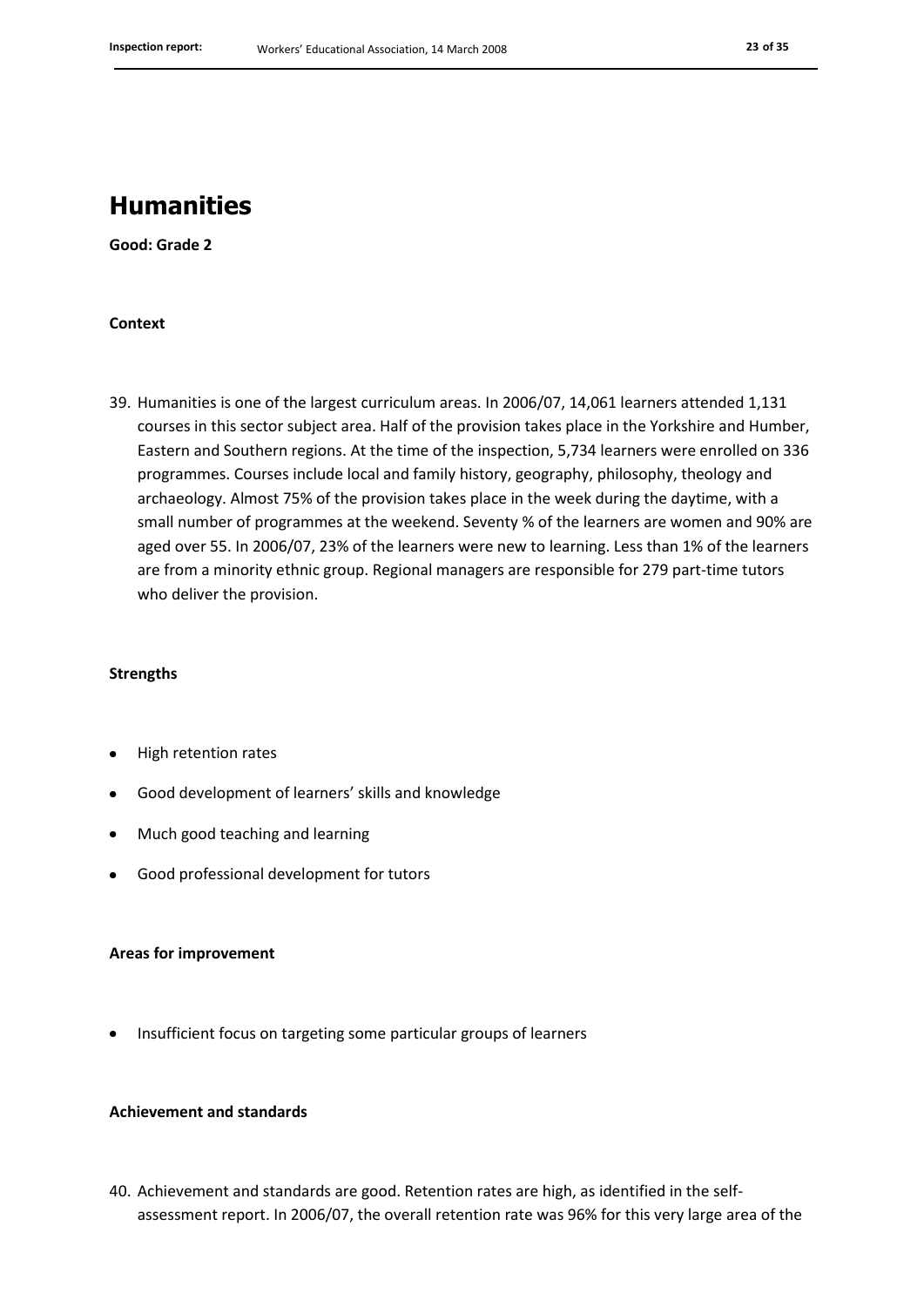### **Humanities**

**Good: Grade 2**

#### **Context**

39. Humanities is one of the largest curriculum areas. In 2006/07, 14,061 learners attended 1,131 courses in this sector subject area. Half of the provision takes place in the Yorkshire and Humber, Eastern and Southern regions. At the time of the inspection, 5,734 learners were enrolled on 336 programmes. Courses include local and family history, geography, philosophy, theology and archaeology. Almost 75% of the provision takes place in the week during the daytime, with a small number of programmes at the weekend. Seventy % of the learners are women and 90% are aged over 55. In 2006/07, 23% of the learners were new to learning. Less than 1% of the learners are from a minority ethnic group. Regional managers are responsible for 279 part-time tutors who deliver the provision.

#### **Strengths**

- High retention rates
- Good development of learners' skills and knowledge
- Much good teaching and learning
- Good professional development for tutors

#### **Areas for improvement**

Insufficient focus on targeting some particular groups of learners

#### **Achievement and standards**

40. Achievement and standards are good. Retention rates are high, as identified in the selfassessment report. In 2006/07, the overall retention rate was 96% for this very large area of the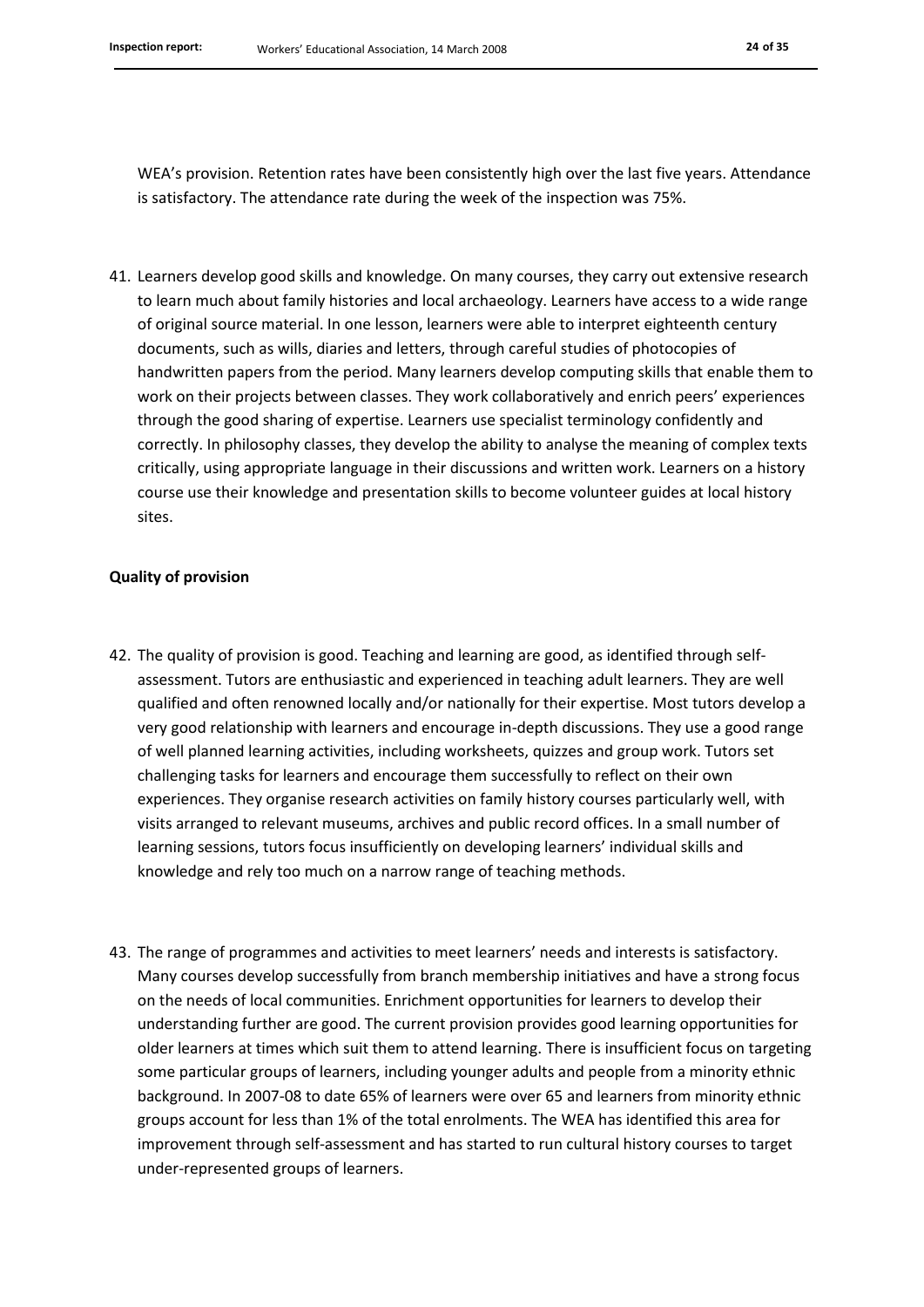WEA's provision. Retention rates have been consistently high over the last five years. Attendance is satisfactory. The attendance rate during the week of the inspection was 75%.

41. Learners develop good skills and knowledge. On many courses, they carry out extensive research to learn much about family histories and local archaeology. Learners have access to a wide range of original source material. In one lesson, learners were able to interpret eighteenth century documents, such as wills, diaries and letters, through careful studies of photocopies of handwritten papers from the period. Many learners develop computing skills that enable them to work on their projects between classes. They work collaboratively and enrich peers' experiences through the good sharing of expertise. Learners use specialist terminology confidently and correctly. In philosophy classes, they develop the ability to analyse the meaning of complex texts critically, using appropriate language in their discussions and written work. Learners on a history course use their knowledge and presentation skills to become volunteer guides at local history sites.

#### **Quality of provision**

- 42. The quality of provision is good. Teaching and learning are good, as identified through selfassessment. Tutors are enthusiastic and experienced in teaching adult learners. They are well qualified and often renowned locally and/or nationally for their expertise. Most tutors develop a very good relationship with learners and encourage in-depth discussions. They use a good range of well planned learning activities, including worksheets, quizzes and group work. Tutors set challenging tasks for learners and encourage them successfully to reflect on their own experiences. They organise research activities on family history courses particularly well, with visits arranged to relevant museums, archives and public record offices. In a small number of learning sessions, tutors focus insufficiently on developing learners' individual skills and knowledge and rely too much on a narrow range of teaching methods.
- 43. The range of programmes and activities to meet learners' needs and interests is satisfactory. Many courses develop successfully from branch membership initiatives and have a strong focus on the needs of local communities. Enrichment opportunities for learners to develop their understanding further are good. The current provision provides good learning opportunities for older learners at times which suit them to attend learning. There is insufficient focus on targeting some particular groups of learners, including younger adults and people from a minority ethnic background. In 2007-08 to date 65% of learners were over 65 and learners from minority ethnic groups account for less than 1% of the total enrolments. The WEA has identified this area for improvement through self-assessment and has started to run cultural history courses to target under-represented groups of learners.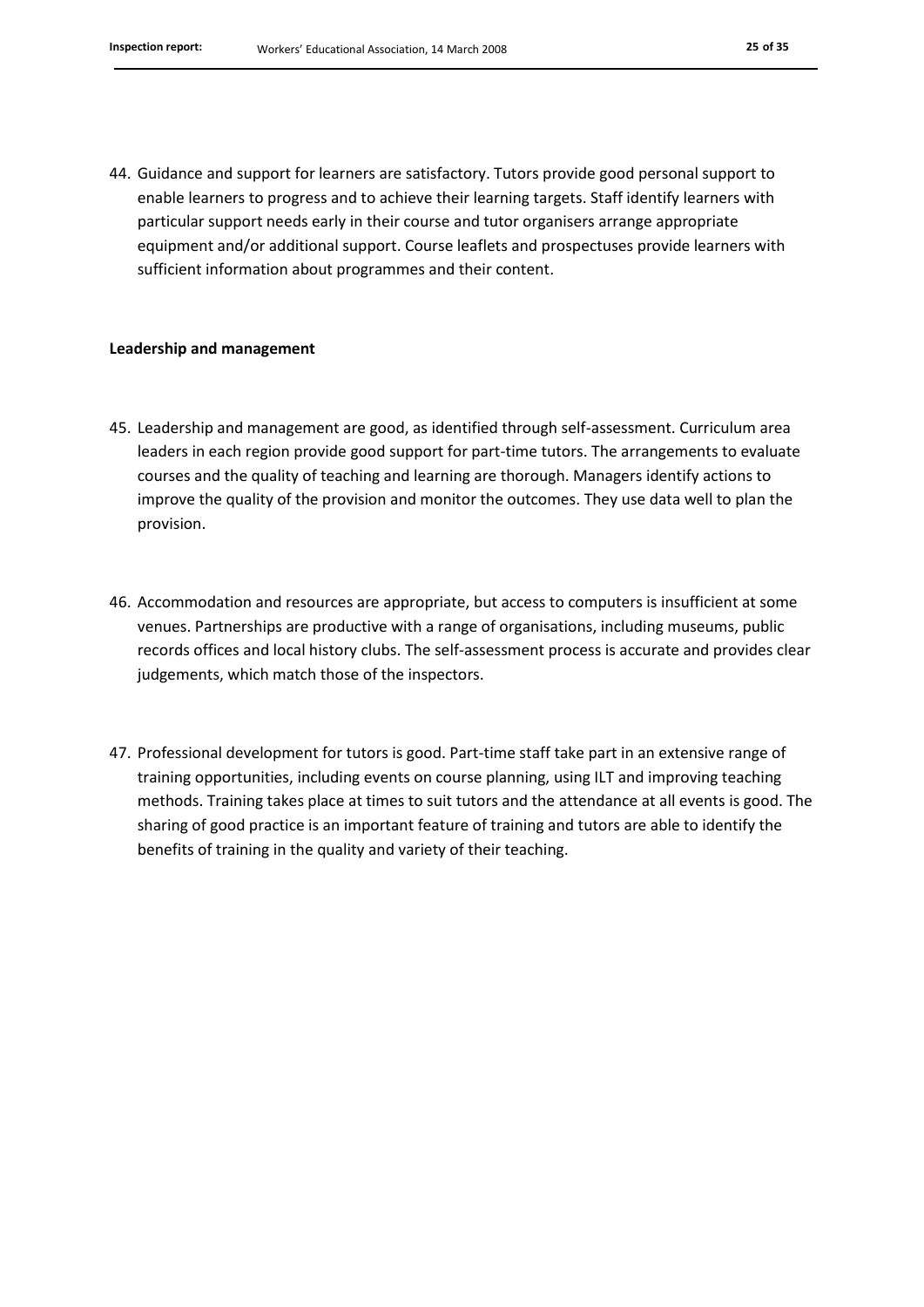44. Guidance and support for learners are satisfactory. Tutors provide good personal support to enable learners to progress and to achieve their learning targets. Staff identify learners with particular support needs early in their course and tutor organisers arrange appropriate equipment and/or additional support. Course leaflets and prospectuses provide learners with sufficient information about programmes and their content.

#### **Leadership and management**

- 45. Leadership and management are good, as identified through self-assessment. Curriculum area leaders in each region provide good support for part-time tutors. The arrangements to evaluate courses and the quality of teaching and learning are thorough. Managers identify actions to improve the quality of the provision and monitor the outcomes. They use data well to plan the provision.
- 46. Accommodation and resources are appropriate, but access to computers is insufficient at some venues. Partnerships are productive with a range of organisations, including museums, public records offices and local history clubs. The self-assessment process is accurate and provides clear judgements, which match those of the inspectors.
- 47. Professional development for tutors is good. Part-time staff take part in an extensive range of training opportunities, including events on course planning, using ILT and improving teaching methods. Training takes place at times to suit tutors and the attendance at all events is good. The sharing of good practice is an important feature of training and tutors are able to identify the benefits of training in the quality and variety of their teaching.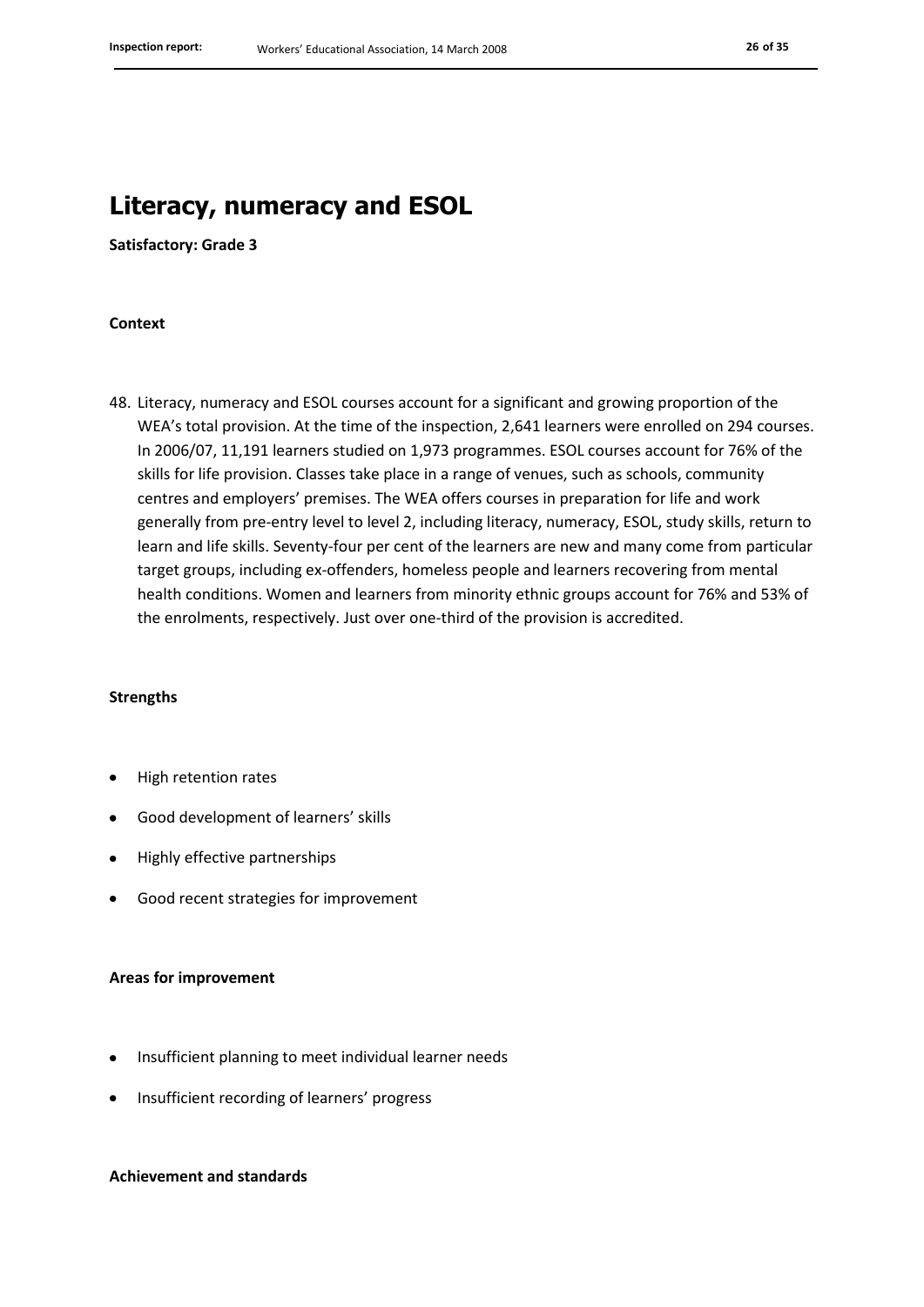### **Literacy, numeracy and ESOL**

**Satisfactory: Grade 3**

#### **Context**

48. Literacy, numeracy and ESOL courses account for a significant and growing proportion of the WEA's total provision. At the time of the inspection, 2,641 learners were enrolled on 294 courses. In 2006/07, 11,191 learners studied on 1,973 programmes. ESOL courses account for 76% of the skills for life provision. Classes take place in a range of venues, such as schools, community centres and employers' premises. The WEA offers courses in preparation for life and work generally from pre-entry level to level 2, including literacy, numeracy, ESOL, study skills, return to learn and life skills. Seventy-four per cent of the learners are new and many come from particular target groups, including ex-offenders, homeless people and learners recovering from mental health conditions. Women and learners from minority ethnic groups account for 76% and 53% of the enrolments, respectively. Just over one-third of the provision is accredited.

#### **Strengths**

- High retention rates
- Good development of learners' skills
- Highly effective partnerships
- Good recent strategies for improvement

#### **Areas for improvement**

- Insufficient planning to meet individual learner needs
- Insufficient recording of learners' progress

#### **Achievement and standards**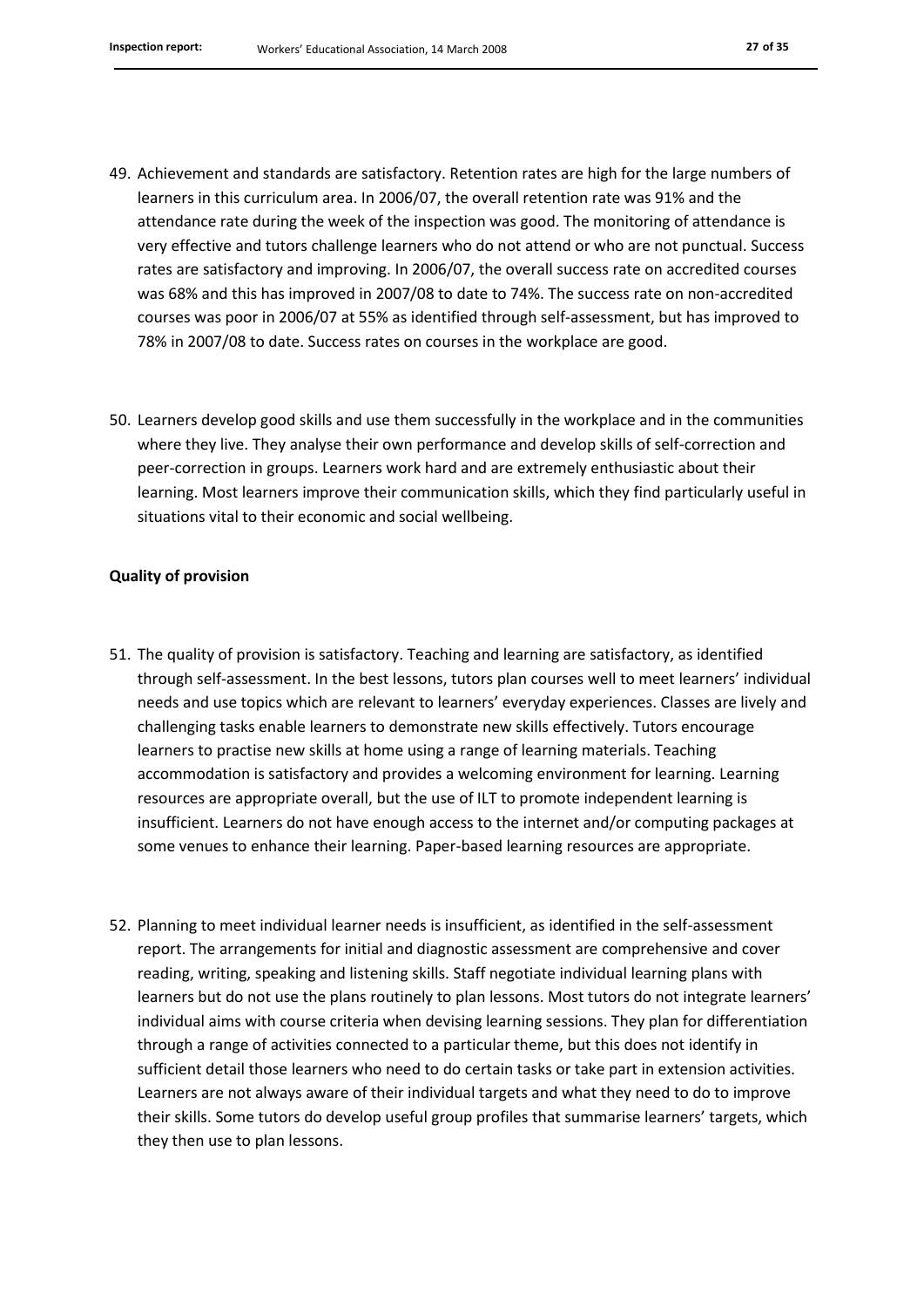- 49. Achievement and standards are satisfactory. Retention rates are high for the large numbers of learners in this curriculum area. In 2006/07, the overall retention rate was 91% and the attendance rate during the week of the inspection was good. The monitoring of attendance is very effective and tutors challenge learners who do not attend or who are not punctual. Success rates are satisfactory and improving. In 2006/07, the overall success rate on accredited courses was 68% and this has improved in 2007/08 to date to 74%. The success rate on non-accredited courses was poor in 2006/07 at 55% as identified through self-assessment, but has improved to 78% in 2007/08 to date. Success rates on courses in the workplace are good.
- 50. Learners develop good skills and use them successfully in the workplace and in the communities where they live. They analyse their own performance and develop skills of self-correction and peer-correction in groups. Learners work hard and are extremely enthusiastic about their learning. Most learners improve their communication skills, which they find particularly useful in situations vital to their economic and social wellbeing.

#### **Quality of provision**

- 51. The quality of provision is satisfactory. Teaching and learning are satisfactory, as identified through self-assessment. In the best lessons, tutors plan courses well to meet learners' individual needs and use topics which are relevant to learners' everyday experiences. Classes are lively and challenging tasks enable learners to demonstrate new skills effectively. Tutors encourage learners to practise new skills at home using a range of learning materials. Teaching accommodation is satisfactory and provides a welcoming environment for learning. Learning resources are appropriate overall, but the use of ILT to promote independent learning is insufficient. Learners do not have enough access to the internet and/or computing packages at some venues to enhance their learning. Paper-based learning resources are appropriate.
- 52. Planning to meet individual learner needs is insufficient, as identified in the self-assessment report. The arrangements for initial and diagnostic assessment are comprehensive and cover reading, writing, speaking and listening skills. Staff negotiate individual learning plans with learners but do not use the plans routinely to plan lessons. Most tutors do not integrate learners' individual aims with course criteria when devising learning sessions. They plan for differentiation through a range of activities connected to a particular theme, but this does not identify in sufficient detail those learners who need to do certain tasks or take part in extension activities. Learners are not always aware of their individual targets and what they need to do to improve their skills. Some tutors do develop useful group profiles that summarise learners' targets, which they then use to plan lessons.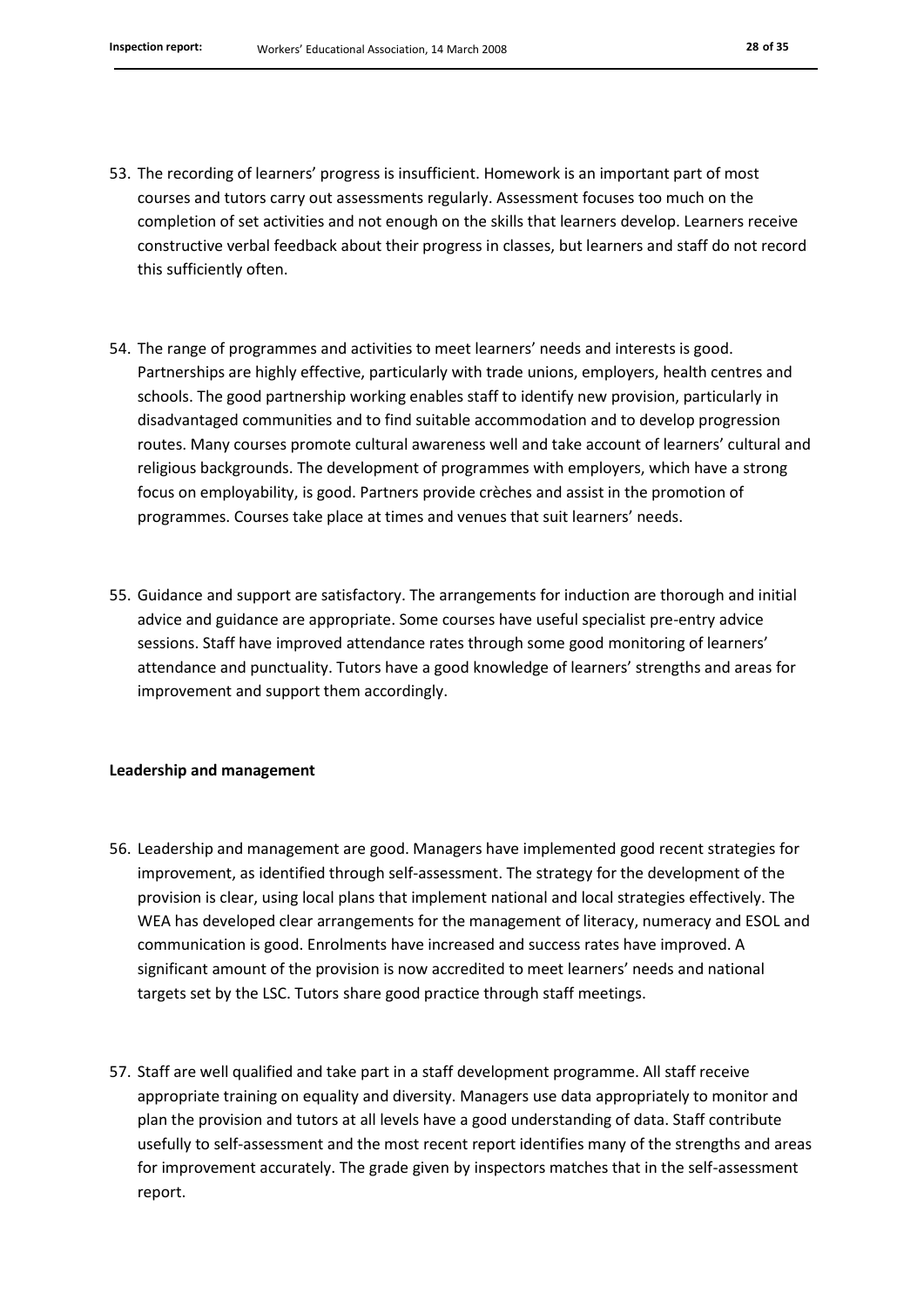- 53. The recording of learners' progress is insufficient. Homework is an important part of most courses and tutors carry out assessments regularly. Assessment focuses too much on the completion of set activities and not enough on the skills that learners develop. Learners receive constructive verbal feedback about their progress in classes, but learners and staff do not record this sufficiently often.
- 54. The range of programmes and activities to meet learners' needs and interests is good. Partnerships are highly effective, particularly with trade unions, employers, health centres and schools. The good partnership working enables staff to identify new provision, particularly in disadvantaged communities and to find suitable accommodation and to develop progression routes. Many courses promote cultural awareness well and take account of learners' cultural and religious backgrounds. The development of programmes with employers, which have a strong focus on employability, is good. Partners provide crèches and assist in the promotion of programmes. Courses take place at times and venues that suit learners' needs.
- 55. Guidance and support are satisfactory. The arrangements for induction are thorough and initial advice and guidance are appropriate. Some courses have useful specialist pre-entry advice sessions. Staff have improved attendance rates through some good monitoring of learners' attendance and punctuality. Tutors have a good knowledge of learners' strengths and areas for improvement and support them accordingly.

#### **Leadership and management**

- 56. Leadership and management are good. Managers have implemented good recent strategies for improvement, as identified through self-assessment. The strategy for the development of the provision is clear, using local plans that implement national and local strategies effectively. The WEA has developed clear arrangements for the management of literacy, numeracy and ESOL and communication is good. Enrolments have increased and success rates have improved. A significant amount of the provision is now accredited to meet learners' needs and national targets set by the LSC. Tutors share good practice through staff meetings.
- 57. Staff are well qualified and take part in a staff development programme. All staff receive appropriate training on equality and diversity. Managers use data appropriately to monitor and plan the provision and tutors at all levels have a good understanding of data. Staff contribute usefully to self-assessment and the most recent report identifies many of the strengths and areas for improvement accurately. The grade given by inspectors matches that in the self-assessment report.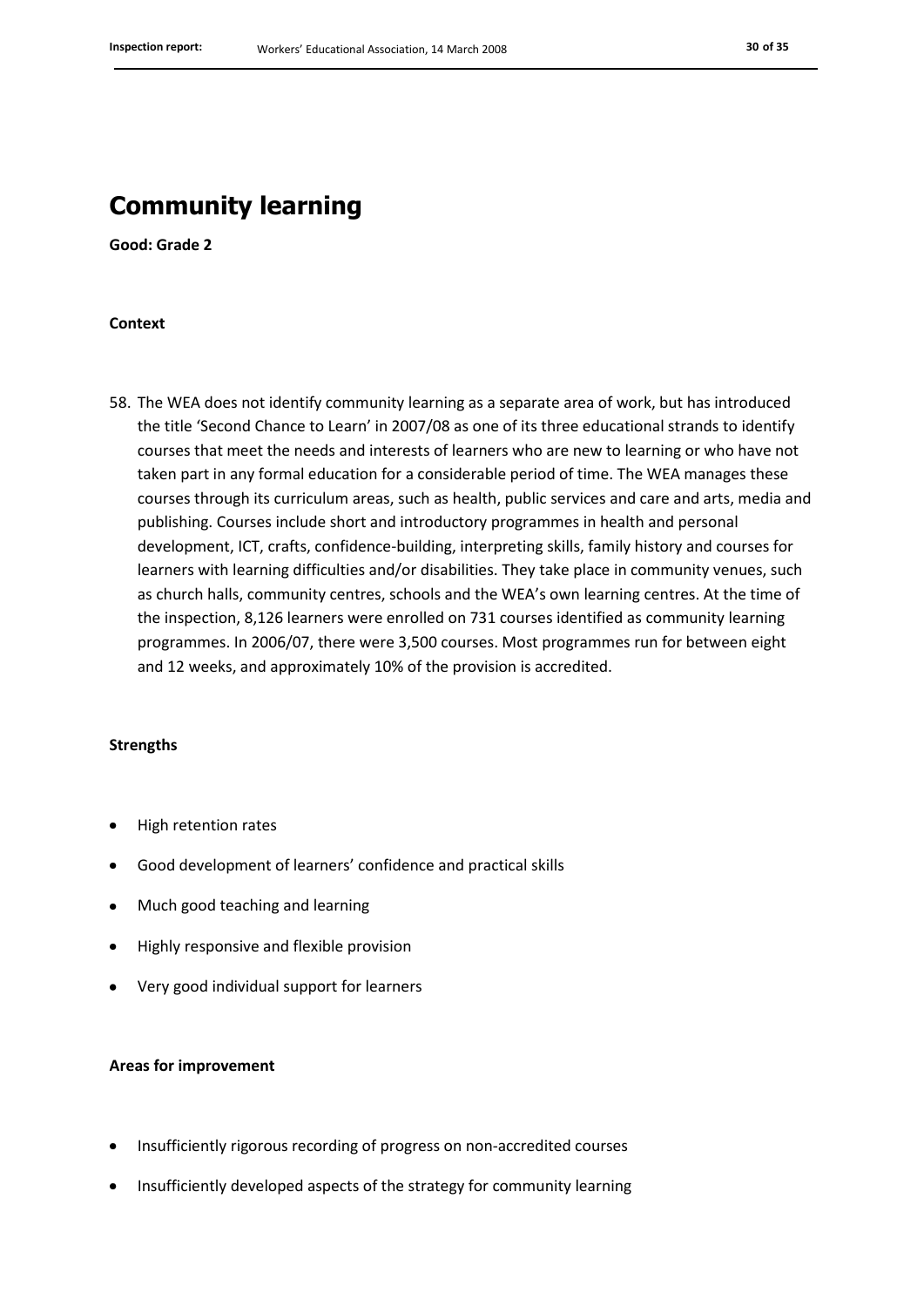### **Community learning**

**Good: Grade 2**

#### **Context**

58. The WEA does not identify community learning as a separate area of work, but has introduced the title 'Second Chance to Learn' in 2007/08 as one of its three educational strands to identify courses that meet the needs and interests of learners who are new to learning or who have not taken part in any formal education for a considerable period of time. The WEA manages these courses through its curriculum areas, such as health, public services and care and arts, media and publishing. Courses include short and introductory programmes in health and personal development, ICT, crafts, confidence-building, interpreting skills, family history and courses for learners with learning difficulties and/or disabilities. They take place in community venues, such as church halls, community centres, schools and the WEA's own learning centres. At the time of the inspection, 8,126 learners were enrolled on 731 courses identified as community learning programmes. In 2006/07, there were 3,500 courses. Most programmes run for between eight and 12 weeks, and approximately 10% of the provision is accredited.

#### **Strengths**

- High retention rates
- Good development of learners' confidence and practical skills
- Much good teaching and learning
- Highly responsive and flexible provision
- Very good individual support for learners

#### **Areas for improvement**

- Insufficiently rigorous recording of progress on non-accredited courses
- Insufficiently developed aspects of the strategy for community learning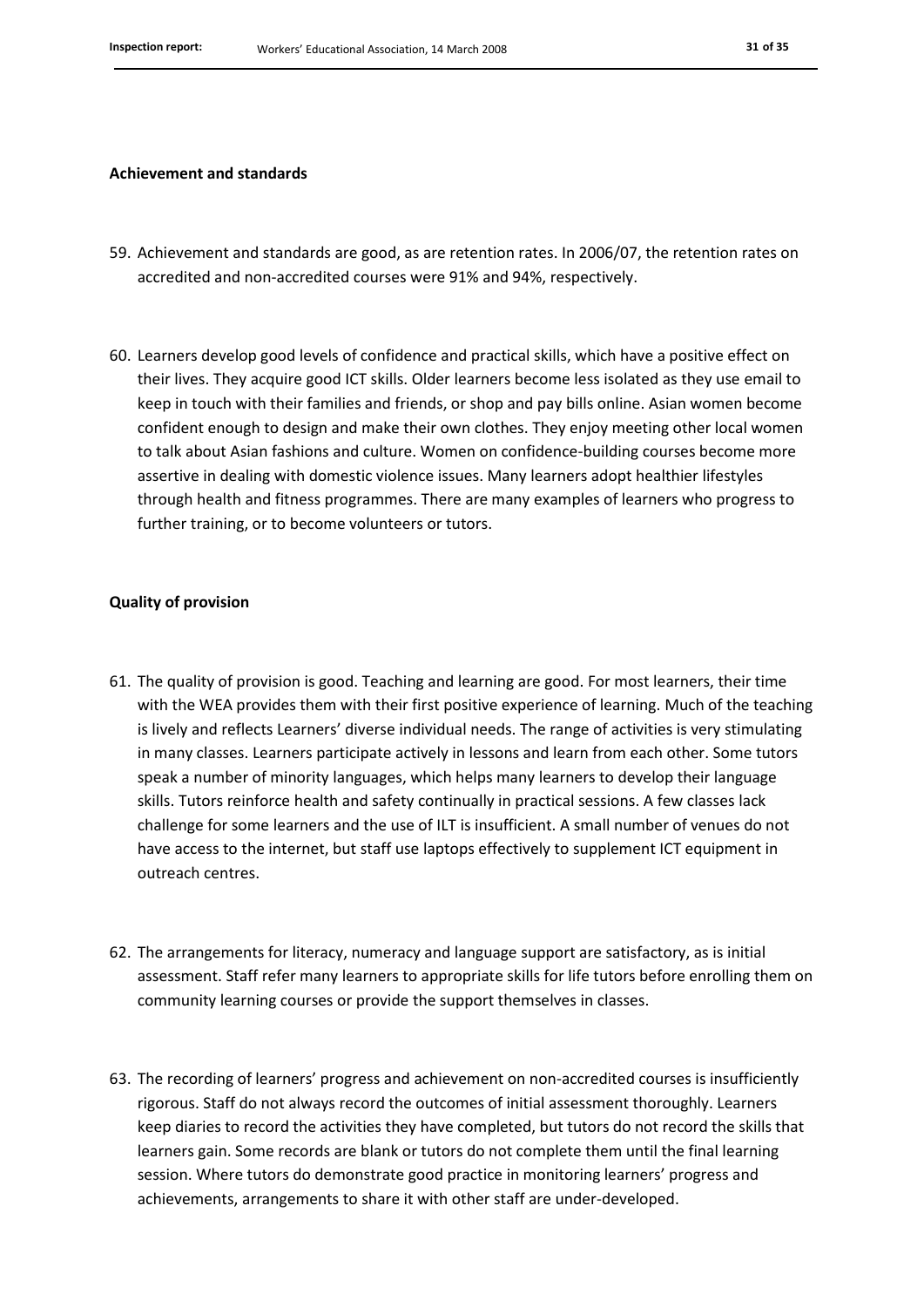#### **Achievement and standards**

- 59. Achievement and standards are good, as are retention rates. In 2006/07, the retention rates on accredited and non-accredited courses were 91% and 94%, respectively.
- 60. Learners develop good levels of confidence and practical skills, which have a positive effect on their lives. They acquire good ICT skills. Older learners become less isolated as they use email to keep in touch with their families and friends, or shop and pay bills online. Asian women become confident enough to design and make their own clothes. They enjoy meeting other local women to talk about Asian fashions and culture. Women on confidence-building courses become more assertive in dealing with domestic violence issues. Many learners adopt healthier lifestyles through health and fitness programmes. There are many examples of learners who progress to further training, or to become volunteers or tutors.

#### **Quality of provision**

- 61. The quality of provision is good. Teaching and learning are good. For most learners, their time with the WEA provides them with their first positive experience of learning. Much of the teaching is lively and reflects Learners' diverse individual needs. The range of activities is very stimulating in many classes. Learners participate actively in lessons and learn from each other. Some tutors speak a number of minority languages, which helps many learners to develop their language skills. Tutors reinforce health and safety continually in practical sessions. A few classes lack challenge for some learners and the use of ILT is insufficient. A small number of venues do not have access to the internet, but staff use laptops effectively to supplement ICT equipment in outreach centres.
- 62. The arrangements for literacy, numeracy and language support are satisfactory, as is initial assessment. Staff refer many learners to appropriate skills for life tutors before enrolling them on community learning courses or provide the support themselves in classes.
- 63. The recording of learners' progress and achievement on non-accredited courses is insufficiently rigorous. Staff do not always record the outcomes of initial assessment thoroughly. Learners keep diaries to record the activities they have completed, but tutors do not record the skills that learners gain. Some records are blank or tutors do not complete them until the final learning session. Where tutors do demonstrate good practice in monitoring learners' progress and achievements, arrangements to share it with other staff are under-developed.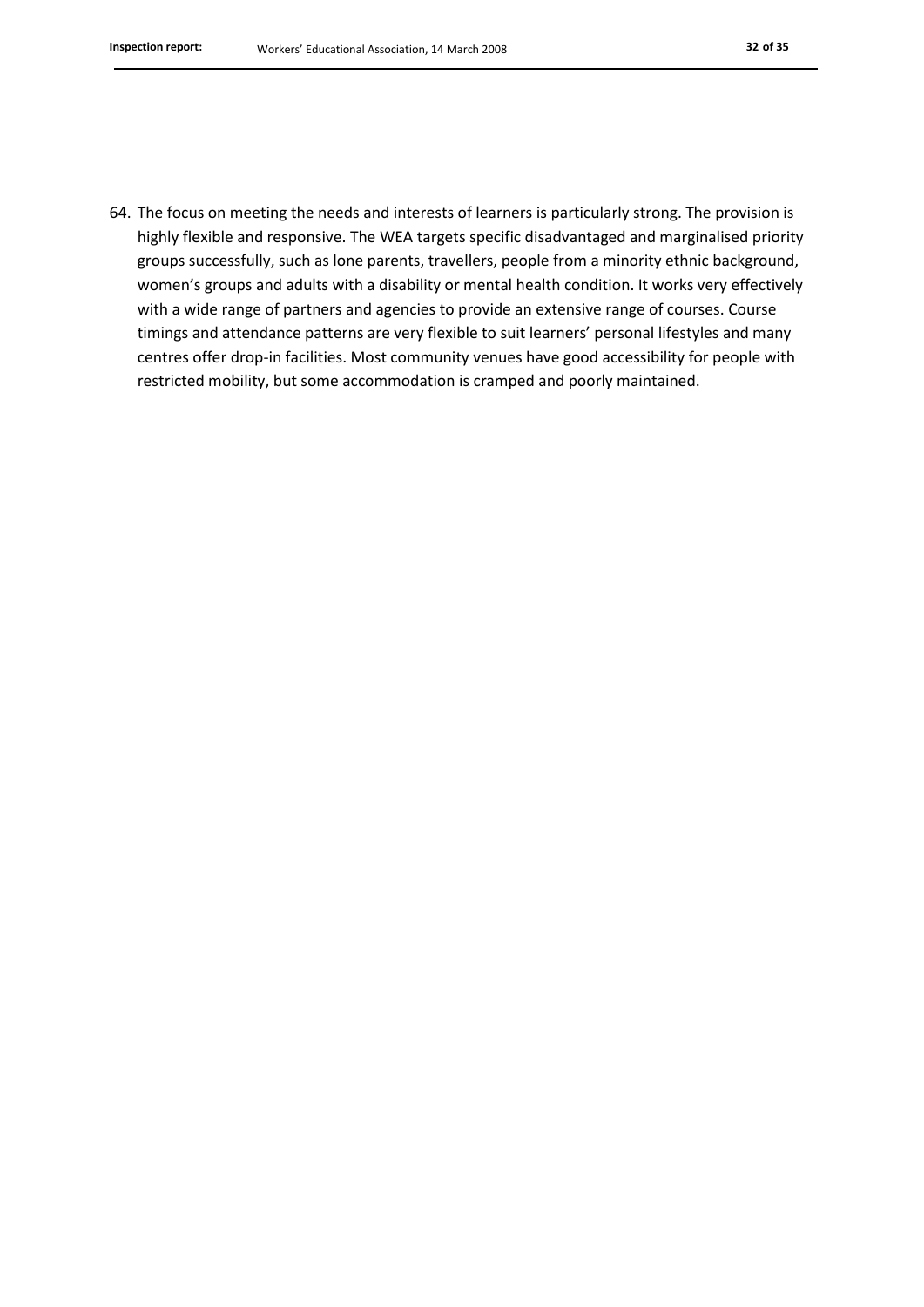64. The focus on meeting the needs and interests of learners is particularly strong. The provision is highly flexible and responsive. The WEA targets specific disadvantaged and marginalised priority groups successfully, such as lone parents, travellers, people from a minority ethnic background, women's groups and adults with a disability or mental health condition. It works very effectively with a wide range of partners and agencies to provide an extensive range of courses. Course timings and attendance patterns are very flexible to suit learners' personal lifestyles and many centres offer drop-in facilities. Most community venues have good accessibility for people with restricted mobility, but some accommodation is cramped and poorly maintained.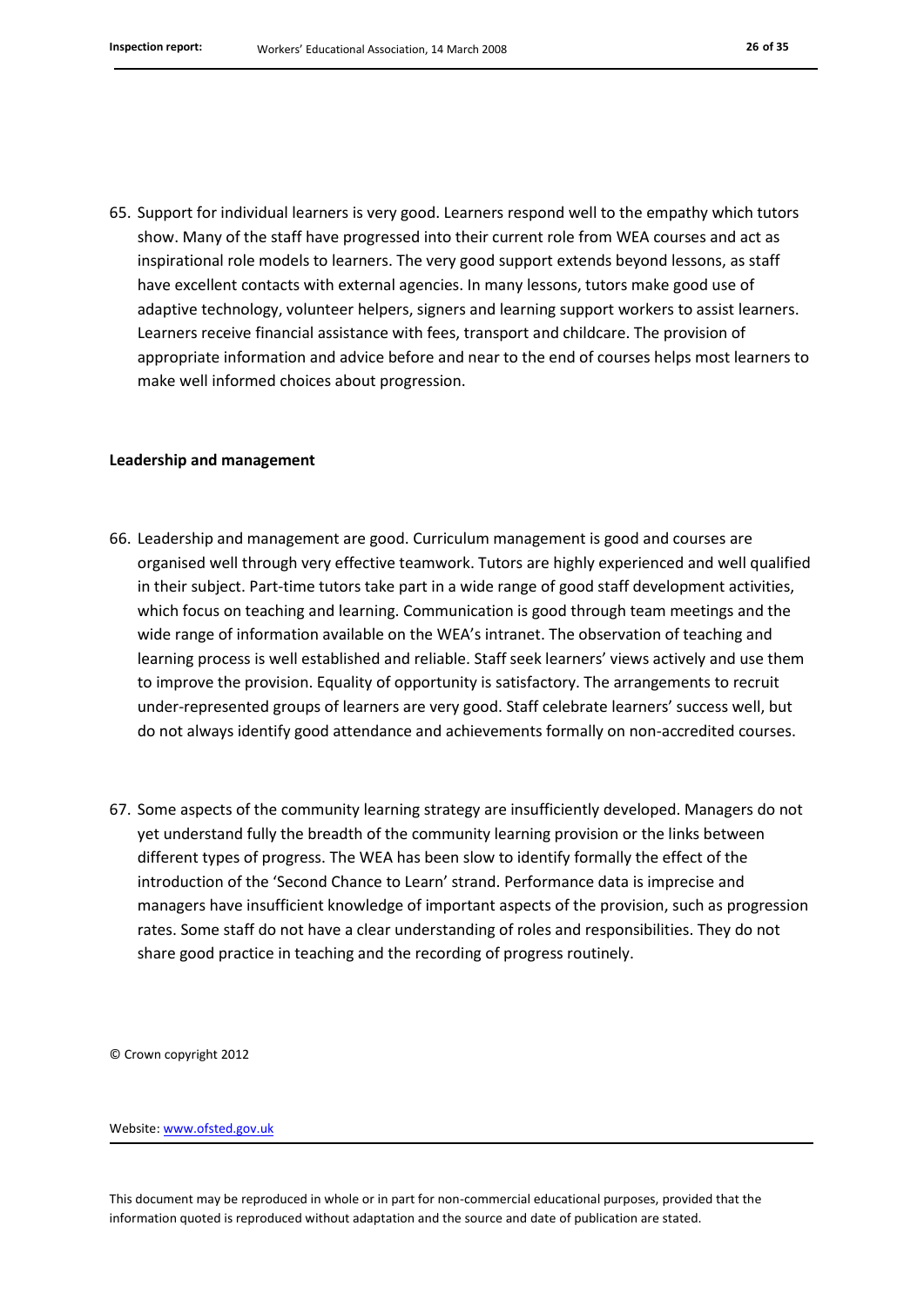65. Support for individual learners is very good. Learners respond well to the empathy which tutors show. Many of the staff have progressed into their current role from WEA courses and act as inspirational role models to learners. The very good support extends beyond lessons, as staff have excellent contacts with external agencies. In many lessons, tutors make good use of adaptive technology, volunteer helpers, signers and learning support workers to assist learners. Learners receive financial assistance with fees, transport and childcare. The provision of appropriate information and advice before and near to the end of courses helps most learners to make well informed choices about progression.

#### **Leadership and management**

- 66. Leadership and management are good. Curriculum management is good and courses are organised well through very effective teamwork. Tutors are highly experienced and well qualified in their subject. Part-time tutors take part in a wide range of good staff development activities, which focus on teaching and learning. Communication is good through team meetings and the wide range of information available on the WEA's intranet. The observation of teaching and learning process is well established and reliable. Staff seek learners' views actively and use them to improve the provision. Equality of opportunity is satisfactory. The arrangements to recruit under-represented groups of learners are very good. Staff celebrate learners' success well, but do not always identify good attendance and achievements formally on non-accredited courses.
- 67. Some aspects of the community learning strategy are insufficiently developed. Managers do not yet understand fully the breadth of the community learning provision or the links between different types of progress. The WEA has been slow to identify formally the effect of the introduction of the 'Second Chance to Learn' strand. Performance data is imprecise and managers have insufficient knowledge of important aspects of the provision, such as progression rates. Some staff do not have a clear understanding of roles and responsibilities. They do not share good practice in teaching and the recording of progress routinely.

© Crown copyright 2012

Website: www.ofsted.gov.uk

This document may be reproduced in whole or in part for non-commercial educational purposes, provided that the information quoted is reproduced without adaptation and the source and date of publication are stated.